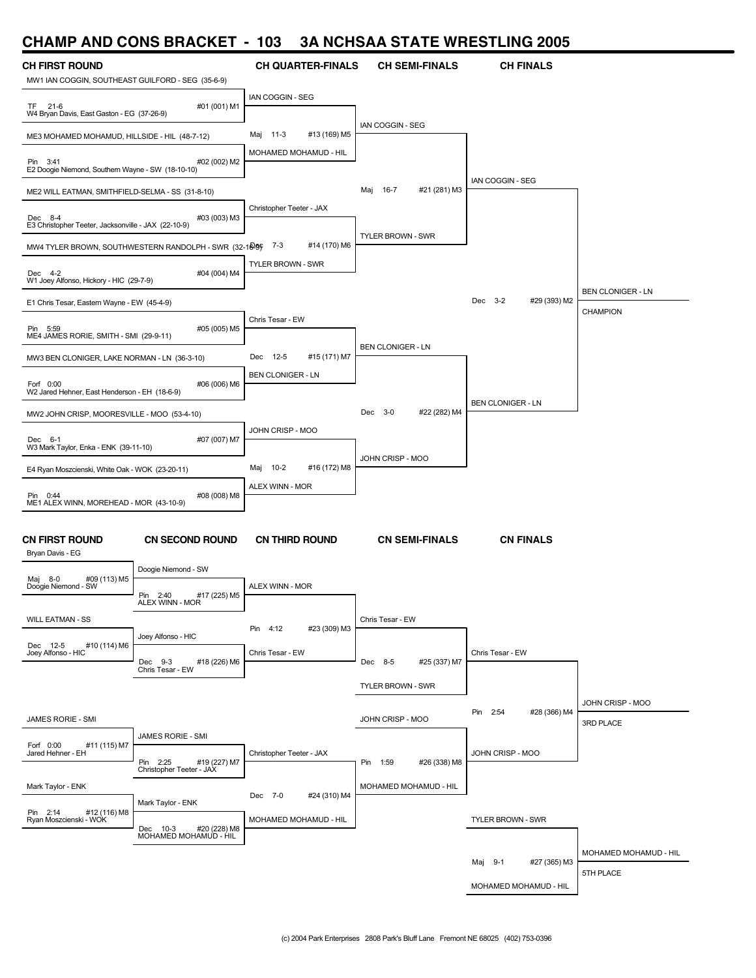#### **CHAMP AND CONS BRACKET - 103 3A NCHSAA STATE WRESTLING 2005**

| <b>CH FIRST ROUND</b>                                          |                                                         | <b>CH QUARTER-FINALS</b>        | <b>CH SEMI-FINALS</b>       | <b>CH FINALS</b>         |                          |
|----------------------------------------------------------------|---------------------------------------------------------|---------------------------------|-----------------------------|--------------------------|--------------------------|
| MW1 IAN COGGIN, SOUTHEAST GUILFORD - SEG (35-6-9)<br>TF 21-6   | #01 (001) M1                                            | <b>IAN COGGIN - SEG</b>         |                             |                          |                          |
| W4 Bryan Davis, East Gaston - EG (37-26-9)                     |                                                         |                                 | <b>IAN COGGIN - SEG</b>     |                          |                          |
| ME3 MOHAMED MOHAMUD, HILLSIDE - HIL (48-7-12)                  |                                                         | #13 (169) M5<br>Maj<br>- 11-3   |                             |                          |                          |
| Pin 3:41<br>E2 Doogie Niemond, Southern Wayne - SW (18-10-10)  | #02 (002) M2                                            | MOHAMED MOHAMUD - HIL           |                             |                          |                          |
| ME2 WILL EATMAN, SMITHFIELD-SELMA - SS (31-8-10)               |                                                         |                                 | 16-7<br>#21 (281) M3<br>Maj | IAN COGGIN - SEG         |                          |
| Dec 8-4<br>E3 Christopher Teeter, Jacksonville - JAX (22-10-9) | #03 (003) M3                                            | Christopher Teeter - JAX        |                             |                          |                          |
|                                                                | MW4 TYLER BROWN, SOUTHWESTERN RANDOLPH - SWR (32-16-99) | #14 (170) M6<br>7-3             | <b>TYLER BROWN - SWR</b>    |                          |                          |
| Dec 4-2<br>W1 Joey Alfonso, Hickory - HIC (29-7-9)             | #04 (004) M4                                            | <b>TYLER BROWN - SWR</b>        |                             |                          |                          |
| E1 Chris Tesar, Eastern Wayne - EW (45-4-9)                    |                                                         |                                 |                             | Dec 3-2<br>#29 (393) M2  | <b>BEN CLONIGER - LN</b> |
|                                                                |                                                         | Chris Tesar - EW                |                             |                          | <b>CHAMPION</b>          |
| Pin 5:59<br>ME4 JAMES RORIE, SMITH - SMI (29-9-11)             | #05 (005) M5                                            |                                 |                             |                          |                          |
| MW3 BEN CLONIGER, LAKE NORMAN - LN (36-3-10)                   |                                                         | Dec 12-5<br>#15 (171) M7        | <b>BEN CLONIGER - LN</b>    |                          |                          |
| Forf 0:00<br>W2 Jared Hehner, East Henderson - EH (18-6-9)     | #06 (006) M6                                            | <b>BEN CLONIGER - LN</b>        |                             |                          |                          |
| MW2 JOHN CRISP, MOORESVILLE - MOO (53-4-10)                    |                                                         |                                 | #22 (282) M4<br>Dec 3-0     | <b>BEN CLONIGER - LN</b> |                          |
|                                                                |                                                         | JOHN CRISP - MOO                |                             |                          |                          |
| Dec 6-1<br>W3 Mark Taylor, Enka - ENK (39-11-10)               | #07 (007) M7                                            |                                 | JOHN CRISP - MOO            |                          |                          |
| E4 Ryan Moszcienski, White Oak - WOK (23-20-11)                |                                                         | $10 - 2$<br>#16 (172) M8<br>Maj |                             |                          |                          |
| Pin 0:44                                                       | #08 (008) M8                                            | ALEX WINN - MOR                 |                             |                          |                          |
| ME1 ALEX WINN, MOREHEAD - MOR (43-10-9)                        |                                                         |                                 |                             |                          |                          |
| <b>CN FIRST ROUND</b><br>Bryan Davis - EG                      | <b>CN SECOND ROUND</b>                                  | <b>CN THIRD ROUND</b>           | <b>CN SEMI-FINALS</b>       | <b>CN FINALS</b>         |                          |
|                                                                | Doogie Niemond - SW                                     |                                 |                             |                          |                          |
| #09 (113) M5<br>8-0<br>Maj<br>Doogie Niemond - SW              | #17 (225) M5<br>Pin<br>2:40<br>ALEX WINN - MOR          | ALEX WINN - MOR                 |                             |                          |                          |
| <b>WILL EATMAN - SS</b>                                        |                                                         | #23 (309) M3<br>Pin 4:12        | Chris Tesar - EW            |                          |                          |
| #10 (114) M6<br>Dec 12-5                                       | Joey Alfonso - HIC                                      |                                 |                             |                          |                          |
| Joey Alfonso - HIC                                             | Dec 9-3<br>#18 (226) M6<br>Chris Tesar - EW             | Chris Tesar - EW                | Dec 8-5<br>#25 (337) M7     | Chris Tesar - EW         |                          |
|                                                                |                                                         |                                 | TYLER BROWN - SWR           |                          |                          |
|                                                                |                                                         |                                 |                             |                          | JOHN CRISP - MOO         |
| JAMES RORIE - SMI                                              |                                                         |                                 | JOHN CRISP - MOO            | Pin 2:54<br>#28 (366) M4 | 3RD PLACE                |
| Forf 0:00<br>#11 (115) M7                                      | JAMES RORIE - SMI                                       |                                 |                             |                          |                          |
| Jared Hehner - EH                                              | #19 (227) M7<br>Pin 2:25<br>Christopher Teeter - JAX    | Christopher Teeter - JAX        | Pin 1:59<br>#26 (338) M8    | JOHN CRISP - MOO         |                          |
| Mark Taylor - ENK                                              |                                                         |                                 | MOHAMED MOHAMUD - HIL       |                          |                          |
| Pin 2:14<br>#12 (116) M8                                       | Mark Taylor - ENK                                       | Dec 7-0<br>#24 (310) M4         |                             |                          |                          |
| Ryan Moszcienski - WOK                                         | Dec 10-3 #20 (228) M8<br>MOHAMED MOHAMUD - HIL          | MOHAMED MOHAMUD - HIL           |                             | <b>TYLER BROWN - SWR</b> |                          |
|                                                                |                                                         |                                 |                             |                          | MOHAMED MOHAMUD - HIL    |
|                                                                |                                                         |                                 |                             | Maj 9-1<br>#27 (365) M3  | 5TH PLACE                |
|                                                                |                                                         |                                 |                             | MOHAMED MOHAMUD - HIL    |                          |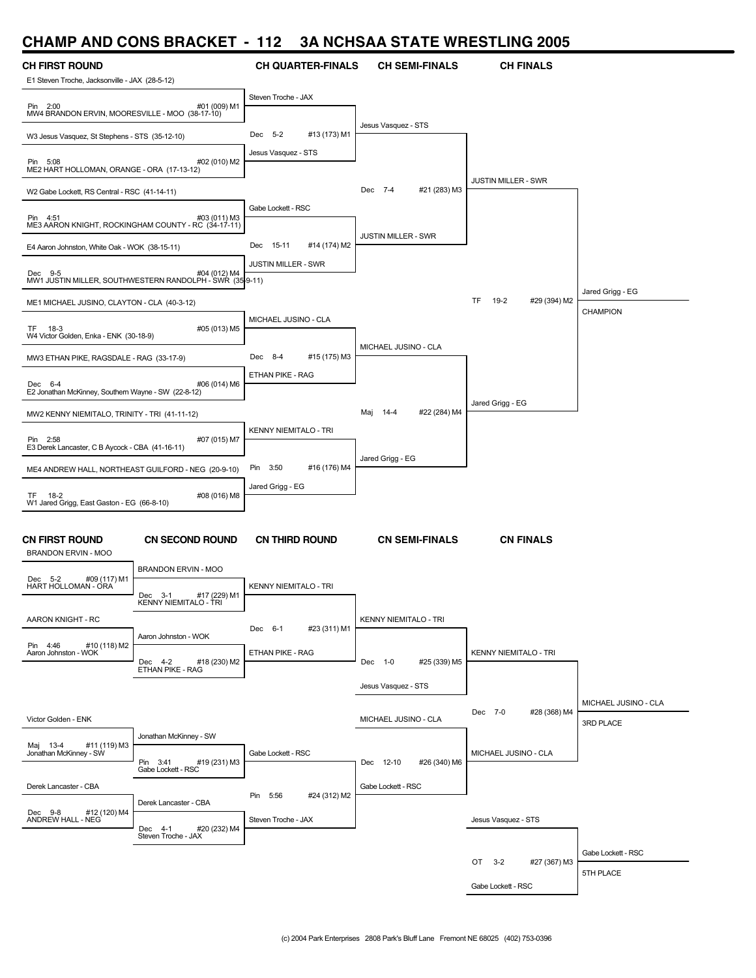### **CHAMP AND CONS BRACKET - 112 3A NCHSAA STATE WRESTLING 2005**

| <b>CH FIRST ROUND</b>                                           |                                                                          | <b>CH QUARTER-FINALS</b>     | <b>CH SEMI-FINALS</b>        | <b>CH FINALS</b>             |                      |
|-----------------------------------------------------------------|--------------------------------------------------------------------------|------------------------------|------------------------------|------------------------------|----------------------|
| E1 Steven Troche, Jacksonville - JAX (28-5-12)                  |                                                                          | Steven Troche - JAX          |                              |                              |                      |
| Pin 2:00<br>MW4 BRANDON ERVIN, MOORESVILLE - MOO (38-17-10)     | #01 (009) M1                                                             |                              | Jesus Vasquez - STS          |                              |                      |
| W3 Jesus Vasquez, St Stephens - STS (35-12-10)                  |                                                                          | #13 (173) M1<br>Dec 5-2      |                              |                              |                      |
| Pin 5:08<br>ME2 HART HOLLOMAN, ORANGE - ORA (17-13-12)          | #02 (010) M2                                                             | Jesus Vasquez - STS          |                              |                              |                      |
| W2 Gabe Lockett, RS Central - RSC (41-14-11)                    |                                                                          |                              | Dec 7-4<br>#21 (283) M3      | JUSTIN MILLER - SWR          |                      |
| Pin 4:51<br>ME3 AARON KNIGHT, ROCKINGHAM COUNTY - RC (34-17-11) | #03 (011) M3                                                             | Gabe Lockett - RSC           |                              |                              |                      |
| E4 Aaron Johnston, White Oak - WOK (38-15-11)                   |                                                                          | Dec 15-11<br>#14 (174) M2    | <b>JUSTIN MILLER - SWR</b>   |                              |                      |
|                                                                 |                                                                          | JUSTIN MILLER - SWR          |                              |                              |                      |
| Dec 9-5                                                         | #04 (012) M4<br>MW1 JUSTIN MILLER, SOUTHWESTERN RANDOLPH - SWR (35-9-11) |                              |                              |                              | Jared Grigg - EG     |
| ME1 MICHAEL JUSINO, CLAYTON - CLA (40-3-12)                     |                                                                          |                              |                              | TF.<br>19-2<br>#29 (394) M2  | CHAMPION             |
| 18-3<br>TF.                                                     | #05 (013) M5                                                             | MICHAEL JUSINO - CLA         |                              |                              |                      |
| W4 Victor Golden, Enka - ENK (30-18-9)                          |                                                                          |                              | MICHAEL JUSINO - CLA         |                              |                      |
| MW3 ETHAN PIKE, RAGSDALE - RAG (33-17-9)                        |                                                                          | #15 (175) M3<br>Dec 8-4      |                              |                              |                      |
| Dec 6-4<br>E2 Jonathan McKinney, Southern Wayne - SW (22-8-12)  | #06 (014) M6                                                             | ETHAN PIKE - RAG             |                              |                              |                      |
|                                                                 |                                                                          |                              | Maj 14-4<br>#22 (284) M4     | Jared Grigg - EG             |                      |
| MW2 KENNY NIEMITALO, TRINITY - TRI (41-11-12)                   |                                                                          | <b>KENNY NIEMITALO - TRI</b> |                              |                              |                      |
| Pin 2:58<br>E3 Derek Lancaster, C B Aycock - CBA (41-16-11)     | #07 (015) M7                                                             |                              | Jared Grigg - EG             |                              |                      |
| ME4 ANDREW HALL, NORTHEAST GUILFORD - NEG (20-9-10)             |                                                                          | Pin 3:50<br>#16 (176) M4     |                              |                              |                      |
| TF 18-2                                                         | #08 (016) M8                                                             | Jared Grigg - EG             |                              |                              |                      |
| W1 Jared Grigg, East Gaston - EG (66-8-10)                      |                                                                          |                              |                              |                              |                      |
| <b>CN FIRST ROUND</b><br><b>BRANDON ERVIN - MOO</b>             | <b>CN SECOND ROUND</b>                                                   | <b>CN THIRD ROUND</b>        | <b>CN SEMI-FINALS</b>        | <b>CN FINALS</b>             |                      |
|                                                                 | <b>BRANDON ERVIN - MOO</b>                                               |                              |                              |                              |                      |
| Dec 5-2<br>#09 (117) M1<br>HART HOLLOMAN - ORA                  | #17 (229) M1<br>Dec 3-1<br>KENNY NIEMITALO - TRI                         | <b>KENNY NIEMITALO - TRI</b> |                              |                              |                      |
| AARON KNIGHT - RC                                               |                                                                          |                              | <b>KENNY NIEMITALO - TRI</b> |                              |                      |
|                                                                 | Aaron Johnston - WOK                                                     | #23 (311) M1<br>Dec 6-1      |                              |                              |                      |
| Pin 4:46<br>#10 (118) M2<br>Aaron Johnston - WOK                | Dec 4-2<br>#18 (230) M2                                                  | ETHAN PIKE - RAG             | Dec 1-0<br>#25 (339) M5      | <b>KENNY NIEMITALO - TRI</b> |                      |
|                                                                 | ETHAN PIKE - RAG                                                         |                              |                              |                              |                      |
|                                                                 |                                                                          |                              | Jesus Vasquez - STS          |                              |                      |
| Victor Golden - ENK                                             |                                                                          |                              | MICHAEL JUSINO - CLA         | Dec 7-0<br>#28 (368) M4      | MICHAEL JUSINO - CLA |
|                                                                 | Jonathan McKinney - SW                                                   |                              |                              |                              | 3RD PLACE            |
| Maj 13-4<br>#11 (119) M3<br>Jonathan McKinney - SW              |                                                                          | Gabe Lockett - RSC           |                              | MICHAEL JUSINO - CLA         |                      |
|                                                                 | #19 (231) M3<br>Pin 3:41<br>Gabe Lockett - RSC                           |                              | #26 (340) M6<br>Dec 12-10    |                              |                      |
| Derek Lancaster - CBA                                           |                                                                          | 5:56<br>#24 (312) M2<br>Pin  | Gabe Lockett - RSC           |                              |                      |
| Dec 9-8<br>#12 (120) M4                                         | Derek Lancaster - CBA                                                    |                              |                              |                              |                      |
| ANDREW HALL - NEG                                               | #20 (232) M4<br>Dec 4-1<br>Steven Troche - JAX                           | Steven Troche - JAX          |                              | Jesus Vasquez - STS          |                      |
|                                                                 |                                                                          |                              |                              |                              | Gabe Lockett - RSC   |
|                                                                 |                                                                          |                              |                              | OT 3-2<br>#27 (367) M3       | 5TH PLACE            |
|                                                                 |                                                                          |                              |                              | Gabe Lockett - RSC           |                      |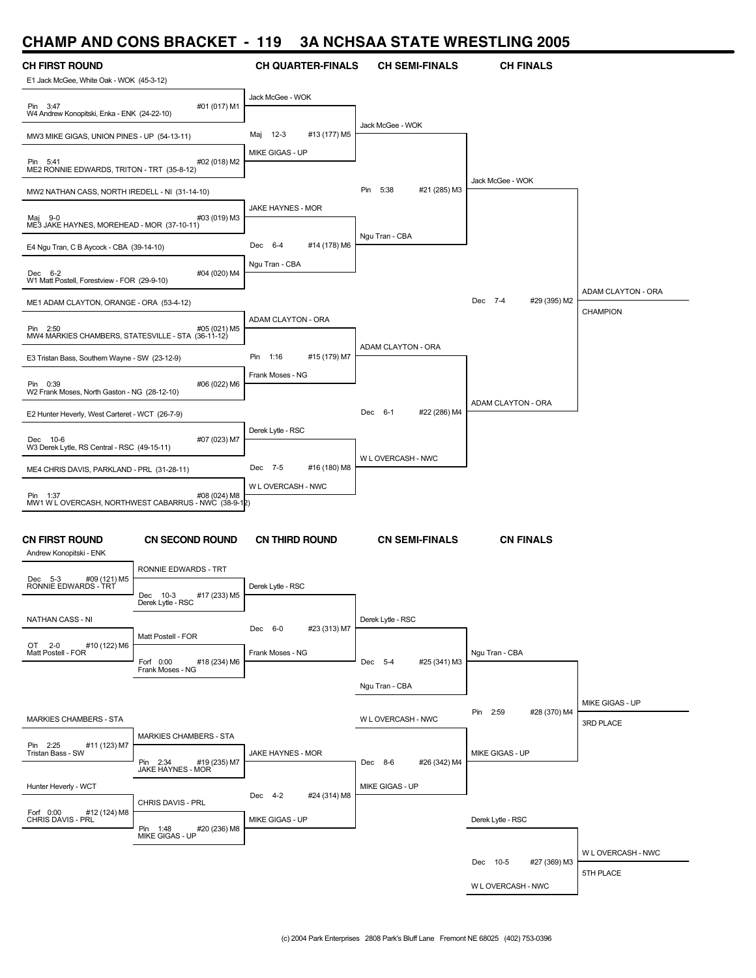# **CHAMP AND CONS BRACKET - 119 3A NCHSAA STATE WRESTLING 2005**

| <b>CH FIRST ROUND</b>                                          |                                                                      | <b>CH QUARTER-FINALS</b> | <b>CH SEMI-FINALS</b>    | <b>CH FINALS</b>         |                    |
|----------------------------------------------------------------|----------------------------------------------------------------------|--------------------------|--------------------------|--------------------------|--------------------|
| E1 Jack McGee, White Oak - WOK (45-3-12)                       |                                                                      |                          |                          |                          |                    |
| Pin 3:47<br>W4 Andrew Konopitski, Enka - ENK (24-22-10)        | #01 (017) M1                                                         | Jack McGee - WOK         |                          |                          |                    |
| MW3 MIKE GIGAS, UNION PINES - UP (54-13-11)                    |                                                                      | Maj 12-3<br>#13 (177) M5 | Jack McGee - WOK         |                          |                    |
| Pin 5:41<br>ME2 RONNIE EDWARDS, TRITON - TRT (35-8-12)         | #02 (018) M2                                                         | MIKE GIGAS - UP          |                          | Jack McGee - WOK         |                    |
| MW2 NATHAN CASS, NORTH IREDELL - NI (31-14-10)                 |                                                                      |                          | Pin 5:38<br>#21 (285) M3 |                          |                    |
| Maj 9-0<br>ME3 JAKE HAYNES, MOREHEAD - MOR (37-10-11)          | #03 (019) M3                                                         | JAKE HAYNES - MOR        |                          |                          |                    |
| E4 Ngu Tran, C B Aycock - CBA (39-14-10)                       |                                                                      | Dec 6-4<br>#14 (178) M6  | Ngu Tran - CBA           |                          |                    |
| Dec 6-2<br>W1 Matt Postell, Forestview - FOR (29-9-10)         | #04 (020) M4                                                         | Ngu Tran - CBA           |                          |                          |                    |
| ME1 ADAM CLAYTON, ORANGE - ORA (53-4-12)                       |                                                                      |                          |                          | Dec 7-4<br>#29 (395) M2  | ADAM CLAYTON - ORA |
| Pin 2:50<br>MW4 MARKIES CHAMBERS, STATESVILLE - STA (36-11-12) | #05 (021) M5                                                         | ADAM CLAYTON - ORA       |                          |                          | CHAMPION           |
| E3 Tristan Bass, Southern Wayne - SW (23-12-9)                 |                                                                      | #15 (179) M7<br>Pin 1:16 | ADAM CLAYTON - ORA       |                          |                    |
| Pin 0:39                                                       | #06 (022) M6                                                         | Frank Moses - NG         |                          |                          |                    |
| W2 Frank Moses, North Gaston - NG (28-12-10)                   |                                                                      |                          |                          | ADAM CLAYTON - ORA       |                    |
| E2 Hunter Heverly, West Carteret - WCT (26-7-9)                |                                                                      |                          | Dec 6-1<br>#22 (286) M4  |                          |                    |
| Dec 10-6<br>W3 Derek Lytle, RS Central - RSC (49-15-11)        | #07 (023) M7                                                         | Derek Lytle - RSC        | W L OVERCASH - NWC       |                          |                    |
| ME4 CHRIS DAVIS, PARKLAND - PRL (31-28-11)                     |                                                                      | Dec 7-5<br>#16 (180) M8  |                          |                          |                    |
| Pin 1:37                                                       | #08 (024) M8<br>MW1 W L OVERCASH, NORTHWEST CABARRUS - NWC (38-9-12) | W L OVERCASH - NWC       |                          |                          |                    |
| <b>CN FIRST ROUND</b>                                          | <b>CN SECOND ROUND</b>                                               | <b>CN THIRD ROUND</b>    | <b>CN SEMI-FINALS</b>    | <b>CN FINALS</b>         |                    |
| Andrew Konopitski - ENK                                        |                                                                      |                          |                          |                          |                    |
| Dec 5-3<br>#09 (121) M5                                        | RONNIE EDWARDS - TRT                                                 |                          |                          |                          |                    |
| RONNIE EDWARDS - TRT                                           | Dec 10-3<br>#17 (233) M5<br>Derek Lytle - RSC                        | Derek Lytle - RSC        |                          |                          |                    |
| NATHAN CASS - NI                                               |                                                                      | Dec 6-0<br>#23 (313) M7  | Derek Lytle - RSC        |                          |                    |
| OT 2-0<br>#10 (122) M6<br>Matt Postell - FOR                   | Matt Postell - FOR                                                   | Frank Moses - NG         |                          | Ngu Tran - CBA           |                    |
|                                                                | Forf 0:00<br>#18 (234) M6<br>Frank Moses - NG                        |                          | Dec 5-4<br>#25 (341) M3  |                          |                    |
|                                                                |                                                                      |                          | Ngu Tran - CBA           |                          |                    |
| MARKIES CHAMBERS - STA                                         |                                                                      |                          | W L OVERCASH - NWC       | Pin 2:59<br>#28 (370) M4 | MIKE GIGAS - UP    |
|                                                                | <b>MARKIES CHAMBERS - STA</b>                                        |                          |                          |                          | 3RD PLACE          |
| Pin 2:25<br>#11 (123) M7<br>Tristan Bass - SW                  | #19 (235) M7<br>Pin 2:34                                             | JAKE HAYNES - MOR        | Dec 8-6<br>#26 (342) M4  | MIKE GIGAS - UP          |                    |
| Hunter Heverly - WCT                                           | JAKE HAYNES - MOR                                                    |                          | MIKE GIGAS - UP          |                          |                    |
|                                                                | CHRIS DAVIS - PRL                                                    | Dec 4-2<br>#24 (314) M8  |                          |                          |                    |
| Forf 0:00<br>#12 (124) M8<br>CHRIS DAVIS - PRL                 | Pin 1:48<br>#20 (236) M8<br>MIKE GIGAS - UP                          | MIKE GIGAS - UP          |                          | Derek Lytle - RSC        |                    |
|                                                                |                                                                      |                          |                          | Dec 10-5<br>#27 (369) M3 | W L OVERCASH - NWC |
|                                                                |                                                                      |                          |                          |                          | 5TH PLACE          |
|                                                                |                                                                      |                          |                          | W L OVERCASH - NWC       |                    |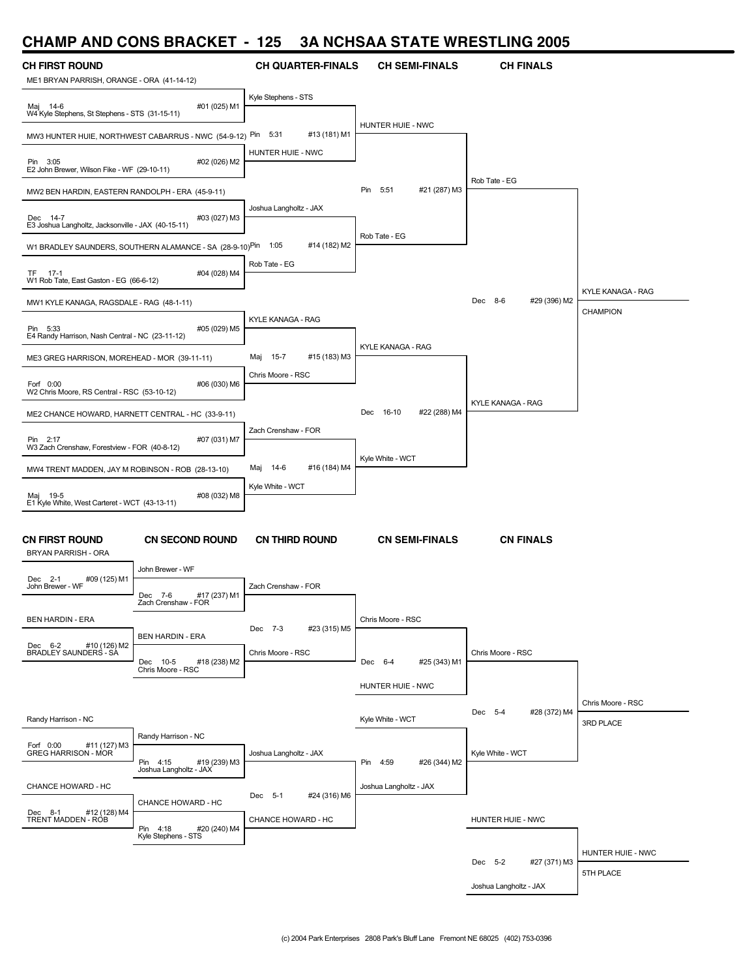# **CHAMP AND CONS BRACKET - 125 3A NCHSAA STATE WRESTLING 2005**

| <b>CH FIRST ROUND</b><br>ME1 BRYAN PARRISH, ORANGE - ORA (41-14-12) |                                                                       | <b>CH QUARTER-FINALS</b>        | <b>CH SEMI-FINALS</b>        | <b>CH FINALS</b>         |                          |
|---------------------------------------------------------------------|-----------------------------------------------------------------------|---------------------------------|------------------------------|--------------------------|--------------------------|
| Maj 14-6<br>W4 Kyle Stephens, St Stephens - STS (31-15-11)          | #01 (025) M1                                                          | Kyle Stephens - STS             |                              |                          |                          |
|                                                                     | MW3 HUNTER HUIE, NORTHWEST CABARRUS - NWC (54-9-12) Pin               | 5:31<br>#13 (181) M1            | HUNTER HUIE - NWC            |                          |                          |
| Pin 3:05<br>E2 John Brewer, Wilson Fike - WF (29-10-11)             | #02 (026) M2                                                          | HUNTER HUIE - NWC               |                              |                          |                          |
| MW2 BEN HARDIN, EASTERN RANDOLPH - ERA (45-9-11)                    |                                                                       |                                 | Pin<br>5:51<br>#21 (287) M3  | Rob Tate - EG            |                          |
| Dec 14-7<br>E3 Joshua Langholtz, Jacksonville - JAX (40-15-11)      | #03 (027) M3                                                          | Joshua Langholtz - JAX          |                              |                          |                          |
|                                                                     | W1 BRADLEY SAUNDERS, SOUTHERN ALAMANCE - SA (28-9-10) <sup>Pin</sup>  | #14 (182) M2<br>1:05            | Rob Tate - EG                |                          |                          |
| TF 17-1<br>W1 Rob Tate, East Gaston - EG (66-6-12)                  | #04 (028) M4                                                          | Rob Tate - EG                   |                              |                          |                          |
| MW1 KYLE KANAGA, RAGSDALE - RAG (48-1-11)                           |                                                                       |                                 |                              | Dec 8-6<br>#29 (396) M2  | <b>KYLE KANAGA - RAG</b> |
| Pin 5:33<br>E4 Randy Harrison, Nash Central - NC (23-11-12)         | #05 (029) M5                                                          | KYLE KANAGA - RAG               |                              |                          | CHAMPION                 |
| ME3 GREG HARRISON, MOREHEAD - MOR (39-11-11)                        |                                                                       | $15 - 7$<br>#15 (183) M3<br>Maj | KYLE KANAGA - RAG            |                          |                          |
| Forf 0:00<br>W2 Chris Moore, RS Central - RSC (53-10-12)            | #06 (030) M6                                                          | Chris Moore - RSC               |                              |                          |                          |
| ME2 CHANCE HOWARD, HARNETT CENTRAL - HC (33-9-11)                   |                                                                       |                                 | 16-10<br>#22 (288) M4<br>Dec | <b>KYLE KANAGA - RAG</b> |                          |
| Pin 2:17<br>W3 Zach Crenshaw, Forestview - FOR (40-8-12)            | #07 (031) M7                                                          | Zach Crenshaw - FOR             |                              |                          |                          |
| MW4 TRENT MADDEN, JAY M ROBINSON - ROB (28-13-10)                   |                                                                       | #16 (184) M4<br>Maj<br>14-6     | Kyle White - WCT             |                          |                          |
| Maj 19-5                                                            | #08 (032) M8                                                          | Kyle White - WCT                |                              |                          |                          |
| E1 Kyle White, West Carteret - WCT (43-13-11)                       |                                                                       |                                 |                              |                          |                          |
| <b>CN FIRST ROUND</b><br><b>BRYAN PARRISH - ORA</b>                 | <b>CN SECOND ROUND</b>                                                | <b>CN THIRD ROUND</b>           | <b>CN SEMI-FINALS</b>        | <b>CN FINALS</b>         |                          |
| #09 (125) M1<br>Dec 2-1<br>John Brewer - WF                         | John Brewer - WF                                                      | Zach Crenshaw - FOR             |                              |                          |                          |
|                                                                     | #17 (237) M1<br>Dec 7-6<br>Zach Crenshaw - FOR                        |                                 |                              |                          |                          |
| <b>BEN HARDIN - ERA</b><br>Dec 6-2<br>#10 (126) M2                  | <b>BEN HARDIN - ERA</b>                                               | Dec 7-3<br>#23 (315) M5         | Chris Moore - RSC            |                          |                          |
| BRADLEY SAUNDERS - SA                                               | #18 (238) M2<br>Dec 10-5<br>Chris Moore - RSC                         | Chris Moore - RSC               | #25 (343) M1<br>Dec 6-4      | Chris Moore - RSC        |                          |
|                                                                     |                                                                       |                                 | HUNTER HUIE - NWC            |                          | Chris Moore - RSC        |
| Randy Harrison - NC                                                 |                                                                       |                                 | Kyle White - WCT             | Dec 5-4<br>#28 (372) M4  | 3RD PLACE                |
|                                                                     | Randy Harrison - NC                                                   |                                 |                              |                          |                          |
| Forf 0:00<br>#11 (127) M3<br><b>GREG HARRISON - MOR</b>             | Pin 4:15 #19 (239) M3<br>Joshua Langholtz - JAX                       | Joshua Langholtz - JAX          | Pin 4:59<br>#26 (344) M2     | Kyle White - WCT         |                          |
| CHANCE HOWARD - HC                                                  |                                                                       | #24 (316) M6<br>Dec 5-1         | Joshua Langholtz - JAX       |                          |                          |
| Dec 8-1<br>#12 (128) M4<br>TRENT MADDEN - ROB                       | CHANCE HOWARD - HC<br>Pin 4:18<br>#20 (240) M4<br>Kyle Stephens - STS | CHANCE HOWARD - HC              |                              | HUNTER HUIE - NWC        |                          |
|                                                                     |                                                                       |                                 |                              |                          | HUNTER HUIE - NWC        |
|                                                                     |                                                                       |                                 |                              | Dec 5-2<br>#27 (371) M3  | 5TH PLACE                |
|                                                                     |                                                                       |                                 |                              | Joshua Langholtz - JAX   |                          |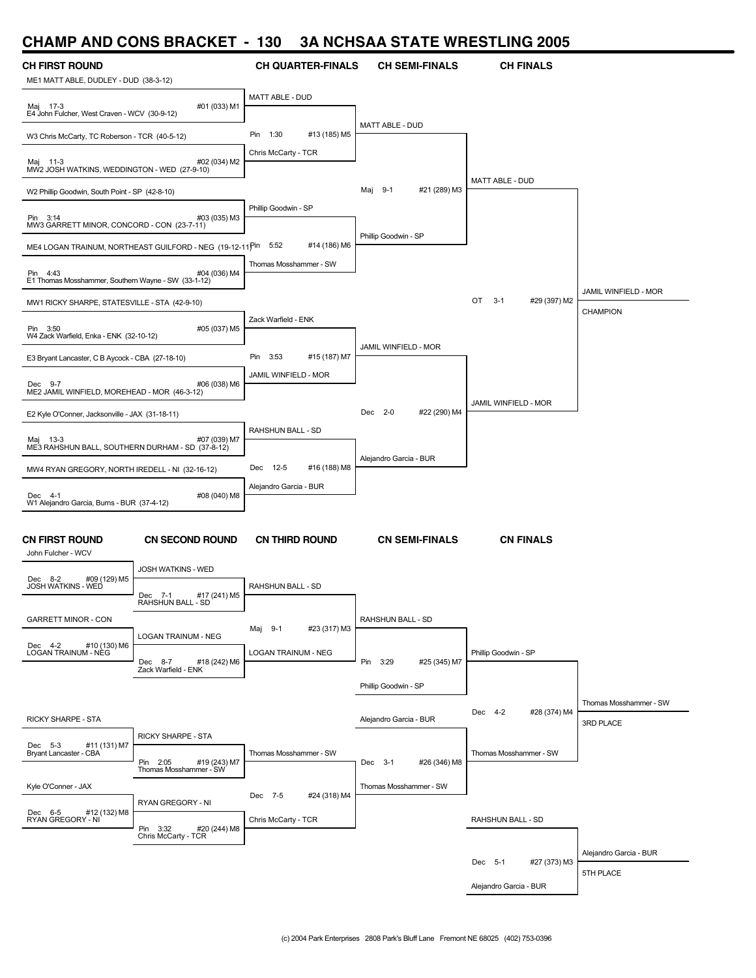#### **CHAMP AND CONS BRACKET - 130 3A NCHSAA STATE WRESTLING 2005**

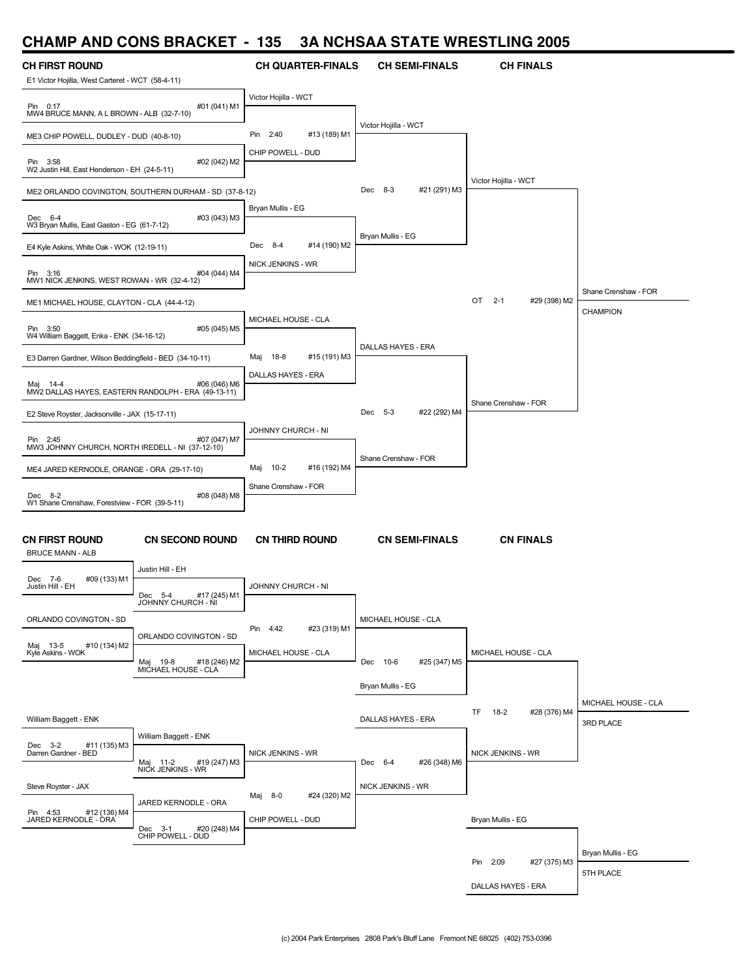### **CHAMP AND CONS BRACKET - 135 3A NCHSAA STATE WRESTLING 2005**

| <b>CH FIRST ROUND</b><br>E1 Victor Hojilla, West Carteret - WCT (58-4-11) |                                                       | <b>CH QUARTER-FINALS</b>      | <b>CH SEMI-FINALS</b>       | <b>CH FINALS</b>              |                                |
|---------------------------------------------------------------------------|-------------------------------------------------------|-------------------------------|-----------------------------|-------------------------------|--------------------------------|
| Pin 0:17                                                                  | #01 (041) M1                                          | Victor Hojilla - WCT          |                             |                               |                                |
| MW4 BRUCE MANN, A L BROWN - ALB (32-7-10)                                 |                                                       | Pin 2:40<br>#13 (189) M1      | Victor Hojilla - WCT        |                               |                                |
| ME3 CHIP POWELL, DUDLEY - DUD (40-8-10)                                   |                                                       | CHIP POWELL - DUD             |                             |                               |                                |
| Pin 3:58<br>W2 Justin Hill, East Henderson - EH (24-5-11)                 | #02 (042) M2                                          |                               |                             | Victor Hojilla - WCT          |                                |
|                                                                           | ME2 ORLANDO COVINGTON, SOUTHERN DURHAM - SD (37-8-12) | Bryan Mullis - EG             | Dec 8-3<br>#21 (291) M3     |                               |                                |
| Dec 6-4<br>W3 Bryan Mullis, East Gaston - EG (61-7-12)                    | #03 (043) M3                                          |                               |                             |                               |                                |
| E4 Kyle Askins, White Oak - WOK (12-19-11)                                |                                                       | Dec 8-4<br>#14 (190) M2       | Bryan Mullis - EG           |                               |                                |
| Pin 3:16<br>MW1 NICK JENKINS, WEST ROWAN - WR (32-4-12)                   | #04 (044) M4                                          | NICK JENKINS - WR             |                             |                               |                                |
| ME1 MICHAEL HOUSE, CLAYTON - CLA (44-4-12)                                |                                                       |                               |                             | OT<br>$2 - 1$<br>#29 (398) M2 | Shane Crenshaw - FOR           |
| Pin 3:50<br>W4 William Baggett, Enka - ENK (34-16-12)                     | #05 (045) M5                                          | MICHAEL HOUSE - CLA           |                             |                               | CHAMPION                       |
| E3 Darren Gardner, Wilson Beddingfield - BED (34-10-11)                   |                                                       | Maj 18-8<br>#15 (191) M3      | <b>DALLAS HAYES - ERA</b>   |                               |                                |
| Mai 14-4<br>MW2 DALLAS HAYES, EASTERN RANDOLPH - ERA (49-13-11)           | #06 (046) M6                                          | DALLAS HAYES - ERA            |                             |                               |                                |
| E2 Steve Royster, Jacksonville - JAX (15-17-11)                           |                                                       |                               | Dec 5-3<br>#22 (292) M4     | Shane Crenshaw - FOR          |                                |
| Pin 2:45<br>MW3 JOHNNY CHURCH, NORTH IREDELL - NI (37-12-10)              | #07 (047) M7                                          | JOHNNY CHURCH - NI            |                             |                               |                                |
| ME4 JARED KERNODLE, ORANGE - ORA (29-17-10)                               |                                                       | $10-2$<br>#16 (192) M4<br>Maj | Shane Crenshaw - FOR        |                               |                                |
| Dec 8-2                                                                   | #08 (048) M8                                          | Shane Crenshaw - FOR          |                             |                               |                                |
| W1 Shane Crenshaw, Forestview - FOR (39-5-11)                             |                                                       |                               |                             |                               |                                |
| <b>CN FIRST ROUND</b><br><b>BRUCE MANN - ALB</b>                          | <b>CN SECOND ROUND</b>                                | <b>CN THIRD ROUND</b>         | <b>CN SEMI-FINALS</b>       | <b>CN FINALS</b>              |                                |
| Dec 7-6<br>#09 (133) M1                                                   | Justin Hill - EH                                      |                               |                             |                               |                                |
| Justin Hill - EH                                                          | #17 (245) M1<br>Dec 5-4<br>JOHNNY CHURCH - NI         | JOHNNY CHURCH - NI            |                             |                               |                                |
| ORLANDO COVINGTON - SD                                                    | ORLANDO COVINGTON - SD                                | Pin 4:42<br>#23 (319) M1      | MICHAEL HOUSE - CLA         |                               |                                |
| Maj 13-5<br>#10 (134) M2<br>Kyle Askins - WOK                             | #18 (246) M2<br>Maj<br>19-8                           | MICHAEL HOUSE - CLA           | #25 (347) M5<br>Dec<br>10-6 | MICHAEL HOUSE - CLA           |                                |
|                                                                           | MICHAEL HOUSE - CLA                                   |                               | Bryan Mullis - EG           |                               |                                |
|                                                                           |                                                       |                               |                             | TF<br>18-2<br>#28 (376) M4    | MICHAEL HOUSE - CLA            |
| William Baggett - ENK                                                     | William Baggett - ENK                                 |                               | DALLAS HAYES - ERA          |                               | 3RD PLACE                      |
| Dec 3-2 #11<br>Darren Gardner - BED<br>#11 (135) M3                       | Maj 11-2 #19<br>NICK JENKINS - WR<br>#19 (247) M3     | NICK JENKINS - WR             | Dec 6-4<br>#26 (348) M6     | NICK JENKINS - WR             |                                |
| Steve Royster - JAX                                                       |                                                       | #24 (320) M2<br>Maj 8-0       | NICK JENKINS - WR           |                               |                                |
| Pin 4:53 #12 (136)<br>JARED KERNODLE - ORA<br>#12 (136) M4                | JARED KERNODLE - ORA                                  | CHIP POWELL - DUD             |                             | Bryan Mullis - EG             |                                |
|                                                                           | #20 (248) M4<br>Dec 3-1 #20<br>CHIP POWELL - DUD      |                               |                             |                               |                                |
|                                                                           |                                                       |                               |                             | Pin 2:09<br>#27 (375) M3      | Bryan Mullis - EG<br>5TH PLACE |
|                                                                           |                                                       |                               |                             | DALLAS HAYES - ERA            |                                |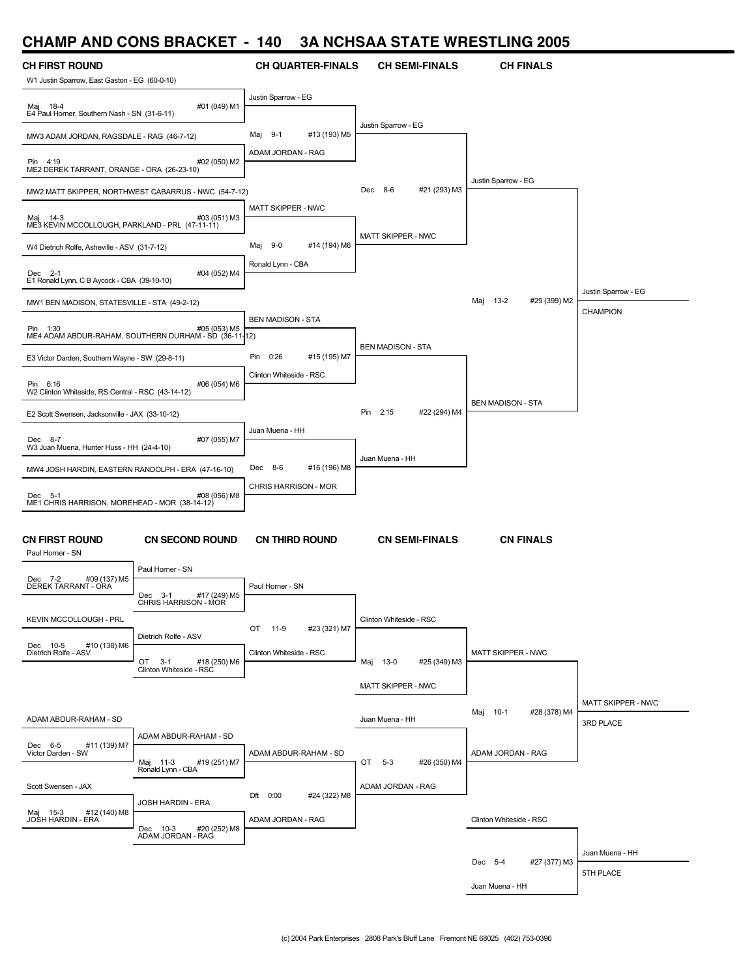### **CHAMP AND CONS BRACKET - 140 3A NCHSAA STATE WRESTLING 2005**

| <b>CH FIRST ROUND</b>                                         |                                                                       | <b>CH QUARTER-FINALS</b>     | <b>CH SEMI-FINALS</b>    | <b>CH FINALS</b>                |                                        |
|---------------------------------------------------------------|-----------------------------------------------------------------------|------------------------------|--------------------------|---------------------------------|----------------------------------------|
| W1 Justin Sparrow, East Gaston - EG (60-0-10)                 |                                                                       |                              |                          |                                 |                                        |
| Maj 18-4<br>E4 Paul Horner, Southern Nash - SN (31-6-11)      | #01 (049) M1                                                          | Justin Sparrow - EG          |                          |                                 |                                        |
| MW3 ADAM JORDAN, RAGSDALE - RAG (46-7-12)                     |                                                                       | $9-1$<br>#13 (193) M5<br>Maj | Justin Sparrow - EG      |                                 |                                        |
| Pin 4:19<br>ME2 DEREK TARRANT, ORANGE - ORA (26-23-10)        | #02 (050) M2                                                          | ADAM JORDAN - RAG            |                          |                                 |                                        |
|                                                               | MW2 MATT SKIPPER, NORTHWEST CABARRUS - NWC (54-7-12)                  |                              | Dec 8-6<br>#21 (293) M3  | Justin Sparrow - EG             |                                        |
| Maj 14-3<br>ME3 KEVIN MCCOLLOUGH, PARKLAND - PRL (47-11-11)   | #03 (051) M3                                                          | MATT SKIPPER - NWC           |                          |                                 |                                        |
| W4 Dietrich Rolfe, Asheville - ASV (31-7-12)                  |                                                                       | $9-0$<br>#14 (194) M6<br>Maj | MATT SKIPPER - NWC       |                                 |                                        |
| Dec 2-1<br>E1 Ronald Lynn, C B Aycock - CBA (39-10-10)        | #04 (052) M4                                                          | Ronald Lynn - CBA            |                          |                                 |                                        |
| MW1 BEN MADISON, STATESVILLE - STA (49-2-12)                  |                                                                       |                              |                          | #29 (399) M2<br>Maj<br>$13 - 2$ | Justin Sparrow - EG<br><b>CHAMPION</b> |
| Pin 1:30                                                      | #05 (053) M5<br>ME4 ADAM ABDUR-RAHAM, SOUTHERN DURHAM - SD (36-11-12) | <b>BEN MADISON - STA</b>     |                          |                                 |                                        |
| E3 Victor Darden, Southern Wayne - SW (29-8-11)               |                                                                       | 0:26<br>#15 (195) M7<br>Pin  | <b>BEN MADISON - STA</b> |                                 |                                        |
| Pin 6:16<br>W2 Clinton Whiteside, RS Central - RSC (43-14-12) | #06 (054) M6                                                          | Clinton Whiteside - RSC      |                          |                                 |                                        |
| E2 Scott Swensen, Jacksonville - JAX (33-10-12)               |                                                                       |                              | Pin 2:15<br>#22 (294) M4 | <b>BEN MADISON - STA</b>        |                                        |
| Dec 8-7<br>W3 Juan Muena, Hunter Huss - HH (24-4-10)          | #07 (055) M7                                                          | Juan Muena - HH              |                          |                                 |                                        |
| MW4 JOSH HARDIN, EASTERN RANDOLPH - ERA (47-16-10)            |                                                                       | Dec 8-6<br>#16 (196) M8      | Juan Muena - HH          |                                 |                                        |
| Dec 5-1<br>ME1 CHRIS HARRISON, MOREHEAD - MOR (38-14-12)      | #08 (056) M8                                                          | CHRIS HARRISON - MOR         |                          |                                 |                                        |
| <b>CN FIRST ROUND</b><br>Paul Horner - SN                     | <b>CN SECOND ROUND</b>                                                | <b>CN THIRD ROUND</b>        | <b>CN SEMI-FINALS</b>    | <b>CN FINALS</b>                |                                        |
| Dec 7-2<br>#09 (137) M5                                       | Paul Horner - SN                                                      |                              |                          |                                 |                                        |
| DEREK TARRANT - ORA                                           | Dec 3-1<br>#17 (249) M5<br>CHRIS HARRISON - MOR                       | Paul Horner - SN             |                          |                                 |                                        |
| <b>KEVIN MCCOLLOUGH - PRL</b>                                 | Dietrich Rolfe - ASV                                                  | OT 11-9<br>#23 (321) M7      | Clinton Whiteside - RSC  |                                 |                                        |
| Dec 10-5<br>#10 (138) M6<br>Dietrich Rolfe - ASV              | OT 3-1<br>#18 (250) M6<br>Clinton Whiteside - RSC                     | Clinton Whiteside - RSC      | Maj 13-0<br>#25 (349) M3 | <b>MATT SKIPPER - NWC</b>       |                                        |
|                                                               |                                                                       |                              | MATT SKIPPER - NWC       |                                 |                                        |
|                                                               |                                                                       |                              |                          | Maj 10-1<br>#28 (378) M4        | <b>MATT SKIPPER - NWC</b>              |
| ADAM ABDUR-RAHAM - SD                                         | ADAM ABDUR-RAHAM - SD                                                 |                              | Juan Muena - HH          |                                 | 3RD PLACE                              |
| Dec 6-5<br>#11 (139) M7<br>Victor Darden - SW                 | Maj 11-3<br>Ronald Lynn - CBA<br>#19 (251) M7                         | ADAM ABDUR-RAHAM - SD        | OT 5-3<br>#26 (350) M4   | ADAM JORDAN - RAG               |                                        |
| Scott Swensen - JAX                                           |                                                                       | Dft 0:00<br>#24 (322) M8     | ADAM JORDAN - RAG        |                                 |                                        |
| Maj 15-3 #12<br>JOSH HARDIN - ERA<br>#12 (140) M8             | JOSH HARDIN - ERA                                                     | ADAM JORDAN - RAG            |                          | Clinton Whiteside - RSC         |                                        |
|                                                               | Dec 10-3<br>#20 (252) M8<br>ADAM JORDAN - RAG                         |                              |                          |                                 |                                        |
|                                                               |                                                                       |                              |                          | Dec 5-4<br>#27 (377) M3         | Juan Muena - HH                        |
|                                                               |                                                                       |                              |                          | Juan Muena - HH                 | 5TH PLACE                              |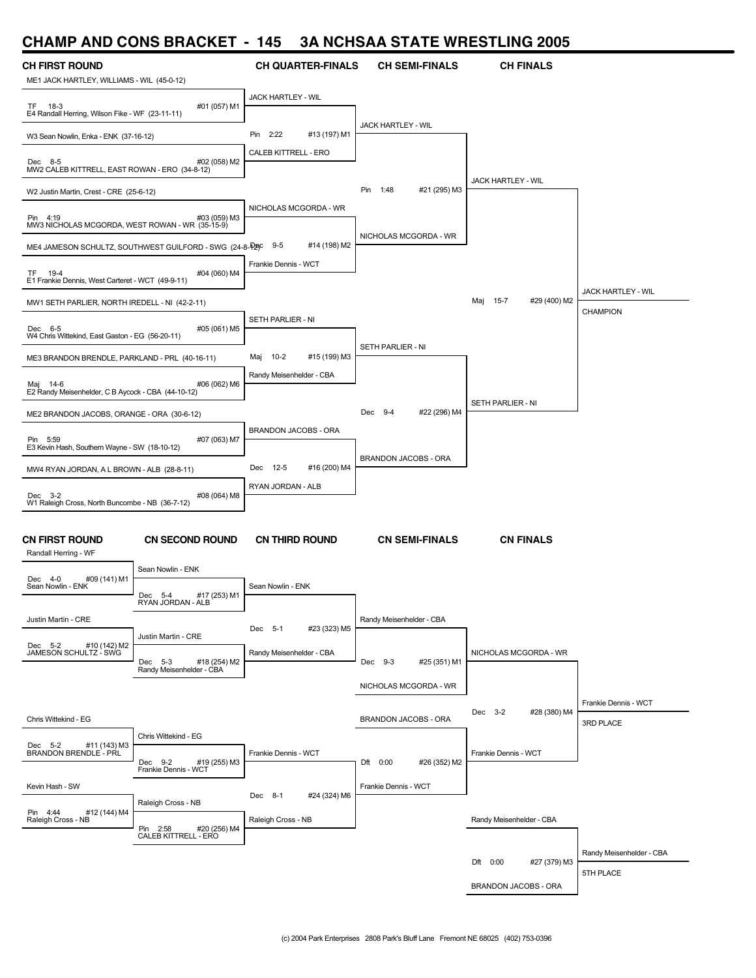# **CHAMP AND CONS BRACKET - 145 3A NCHSAA STATE WRESTLING 2005**

| <u>UILAME AND UUNJ DHAUNLI</u>                                      |                                                          | טדו                      | JA NUTIJAA JTATE WINESTEING 200J |                                 |                          |
|---------------------------------------------------------------------|----------------------------------------------------------|--------------------------|----------------------------------|---------------------------------|--------------------------|
| <b>CH FIRST ROUND</b><br>ME1 JACK HARTLEY, WILLIAMS - WIL (45-0-12) |                                                          | <b>CH QUARTER-FINALS</b> | <b>CH SEMI-FINALS</b>            | <b>CH FINALS</b>                |                          |
|                                                                     |                                                          | JACK HARTLEY - WIL       |                                  |                                 |                          |
| TF 18-3<br>E4 Randall Herring, Wilson Fike - WF (23-11-11)          | #01 (057) M1                                             |                          |                                  |                                 |                          |
| W3 Sean Nowlin, Enka - ENK (37-16-12)                               |                                                          | Pin 2:22<br>#13 (197) M1 | JACK HARTLEY - WIL               |                                 |                          |
| Dec 8-5                                                             | #02 (058) M2                                             | CALEB KITTRELL - ERO     |                                  |                                 |                          |
| MW2 CALEB KITTRELL, EAST ROWAN - ERO (34-8-12)                      |                                                          |                          |                                  | JACK HARTLEY - WIL              |                          |
| W2 Justin Martin, Crest - CRE (25-6-12)                             |                                                          |                          | Pin 1:48<br>#21 (295) M3         |                                 |                          |
| Pin 4:19<br>MW3 NICHOLAS MCGORDA, WEST ROWAN - WR (35-15-9)         | #03 (059) M3                                             | NICHOLAS MCGORDA - WR    |                                  |                                 |                          |
|                                                                     | ME4 JAMESON SCHULTZ, SOUTHWEST GUILFORD - SWG (24-8-P2PC | $9-5$<br>#14 (198) M2    | NICHOLAS MCGORDA - WR            |                                 |                          |
| TF 19-4<br>E1 Frankie Dennis, West Carteret - WCT (49-9-11)         | #04 (060) M4                                             | Frankie Dennis - WCT     |                                  |                                 |                          |
| MW1 SETH PARLIER, NORTH IREDELL - NI (42-2-11)                      |                                                          |                          |                                  | Maj<br>$15 - 7$<br>#29 (400) M2 | JACK HARTLEY - WIL       |
| Dec 6-5                                                             | #05 (061) M5                                             | SETH PARLIER - NI        |                                  |                                 | CHAMPION                 |
| W4 Chris Wittekind, East Gaston - EG (56-20-11)                     |                                                          |                          | SETH PARLIER - NI                |                                 |                          |
| ME3 BRANDON BRENDLE, PARKLAND - PRL (40-16-11)                      |                                                          | Maj 10-2<br>#15 (199) M3 |                                  |                                 |                          |
| Maj 14-6<br>E2 Randy Meisenhelder, C B Aycock - CBA (44-10-12)      | #06 (062) M6                                             | Randy Meisenhelder - CBA |                                  |                                 |                          |
| ME2 BRANDON JACOBS, ORANGE - ORA (30-6-12)                          |                                                          |                          | Dec 9-4<br>#22 (296) M4          | SETH PARLIER - NI               |                          |
| Pin 5:59                                                            | #07 (063) M7                                             | BRANDON JACOBS - ORA     |                                  |                                 |                          |
| E3 Kevin Hash, Southern Wayne - SW (18-10-12)                       |                                                          |                          | BRANDON JACOBS - ORA             |                                 |                          |
| MW4 RYAN JORDAN, A L BROWN - ALB (28-8-11)                          |                                                          | Dec 12-5<br>#16 (200) M4 |                                  |                                 |                          |
| Dec 3-2<br>W1 Raleigh Cross, North Buncombe - NB (36-7-12)          | #08 (064) M8                                             | RYAN JORDAN - ALB        |                                  |                                 |                          |
|                                                                     |                                                          |                          |                                  |                                 |                          |
| CN FIRST ROUND<br>Randall Herring - WF                              | <b>CN SECOND ROUND</b>                                   | <b>CN THIRD ROUND</b>    | <b>CN SEMI-FINALS</b>            | <b>CN FINALS</b>                |                          |
| Dec 4-0<br>#09 (141) M1                                             | Sean Nowlin - ENK                                        |                          |                                  |                                 |                          |
| Sean Nowlin - ENK                                                   | Dec 5-4<br>#17 (253) M1<br>RYAN JORDAN - ALB             | Sean Nowlin - ENK        |                                  |                                 |                          |
| Justin Martin - CRE                                                 |                                                          | #23 (323) M5<br>Dec 5-1  | Randy Meisenhelder - CBA         |                                 |                          |
| Dec 5-2 #10 (142) M2<br>JAMESON SCHULTZ - SWG                       | Justin Martin - CRE                                      |                          |                                  |                                 |                          |
|                                                                     | Dec 5-3<br>#18 (254) M2<br>Randy Meisenhelder - CBA      | Randy Meisenhelder - CBA | Dec 9-3<br>#25 (351) M1          | NICHOLAS MCGORDA - WR           |                          |
|                                                                     |                                                          |                          | NICHOLAS MCGORDA - WR            |                                 |                          |
|                                                                     |                                                          |                          |                                  | Dec 3-2<br>#28 (380) M4         | Frankie Dennis - WCT     |
| Chris Wittekind - EG                                                |                                                          |                          | BRANDON JACOBS - ORA             |                                 | 3RD PLACE                |
| #11 (143) M3<br>Dec 5-2<br>BRANDON BRENDLE - PRL                    | Chris Wittekind - EG                                     | Frankie Dennis - WCT     |                                  | Frankie Dennis - WCT            |                          |
|                                                                     | #19 (255) M3<br>Dec 9-2<br>Frankie Dennis - WCT          |                          | Dft 0:00<br>#26 (352) M2         |                                 |                          |
| Kevin Hash - SW                                                     |                                                          |                          | Frankie Dennis - WCT             |                                 |                          |
| Pin 4:44<br>#12 (144) M4                                            | Raleigh Cross - NB                                       | Dec 8-1<br>#24 (324) M6  |                                  |                                 |                          |
| Raleigh Cross - NB                                                  | Pin 2:58<br>#20 (256) M4                                 | Raleigh Cross - NB       |                                  | Randy Meisenhelder - CBA        |                          |
|                                                                     | CALEB KITTRELL - ERO                                     |                          |                                  |                                 | Randy Meisenhelder - CBA |
|                                                                     |                                                          |                          |                                  | #27 (379) M3<br>Dft 0:00        | 5TH PLACE                |
|                                                                     |                                                          |                          |                                  | BRANDON JACOBS - ORA            |                          |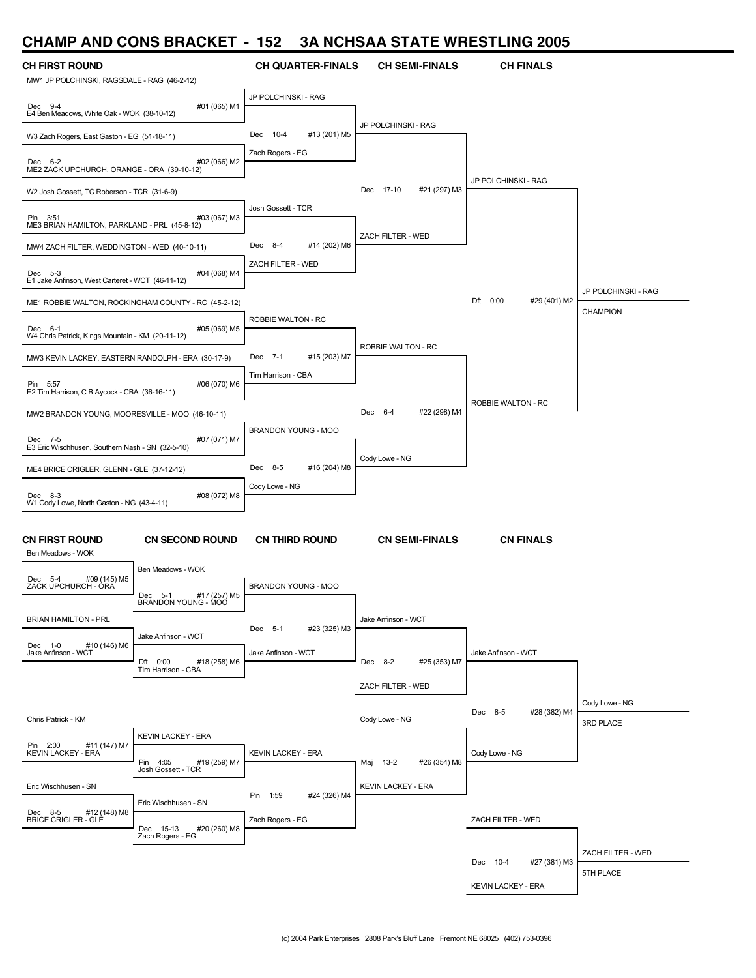### **CHAMP AND CONS BRACKET - 152 3A NCHSAA STATE WRESTLING 2005**

| .<br><b>CH FIRST ROUND</b>                                  |                                                     | <b>CH QUARTER-FINALS</b>  | <b>CH SEMI-FINALS</b>     | <b>CH FINALS</b>          |                             |
|-------------------------------------------------------------|-----------------------------------------------------|---------------------------|---------------------------|---------------------------|-----------------------------|
| MW1 JP POLCHINSKI, RAGSDALE - RAG (46-2-12)                 |                                                     |                           |                           |                           |                             |
| Dec 9-4<br>E4 Ben Meadows, White Oak - WOK (38-10-12)       | #01 (065) M1                                        | JP POLCHINSKI - RAG       |                           |                           |                             |
| W3 Zach Rogers, East Gaston - EG (51-18-11)                 |                                                     | #13 (201) M5<br>Dec 10-4  | JP POLCHINSKI - RAG       |                           |                             |
| Dec 6-2<br>ME2 ZACK UPCHURCH, ORANGE - ORA (39-10-12)       | #02 (066) M2                                        | Zach Rogers - EG          |                           |                           |                             |
| W2 Josh Gossett, TC Roberson - TCR (31-6-9)                 |                                                     |                           | #21 (297) M3<br>Dec 17-10 | JP POLCHINSKI - RAG       |                             |
| Pin 3:51<br>ME3 BRIAN HAMILTON, PARKLAND - PRL (45-8-12)    | #03 (067) M3                                        | Josh Gossett - TCR        |                           |                           |                             |
| MW4 ZACH FILTER, WEDDINGTON - WED (40-10-11)                |                                                     | Dec 8-4<br>#14 (202) M6   | ZACH FILTER - WED         |                           |                             |
| Dec 5-3<br>E1 Jake Anfinson, West Carteret - WCT (46-11-12) | #04 (068) M4                                        | ZACH FILTER - WED         |                           |                           |                             |
|                                                             | ME1 ROBBIE WALTON, ROCKINGHAM COUNTY - RC (45-2-12) |                           |                           | Dft 0:00<br>#29 (401) M2  | JP POLCHINSKI - RAG         |
| Dec 6-1<br>W4 Chris Patrick, Kings Mountain - KM (20-11-12) | #05 (069) M5                                        | ROBBIE WALTON - RC        |                           |                           | CHAMPION                    |
| MW3 KEVIN LACKEY, EASTERN RANDOLPH - ERA (30-17-9)          |                                                     | Dec 7-1<br>#15 (203) M7   | ROBBIE WALTON - RC        |                           |                             |
| Pin 5:57<br>E2 Tim Harrison, C B Aycock - CBA (36-16-11)    | #06 (070) M6                                        | Tim Harrison - CBA        |                           |                           |                             |
| MW2 BRANDON YOUNG, MOORESVILLE - MOO (46-10-11)             |                                                     |                           | #22 (298) M4<br>Dec 6-4   | ROBBIE WALTON - RC        |                             |
| Dec 7-5<br>E3 Eric Wischhusen, Southern Nash - SN (32-5-10) | #07 (071) M7                                        | BRANDON YOUNG - MOO       |                           |                           |                             |
| ME4 BRICE CRIGLER, GLENN - GLE (37-12-12)                   |                                                     | #16 (204) M8<br>Dec 8-5   | Cody Lowe - NG            |                           |                             |
| Dec 8-3                                                     | #08 (072) M8                                        | Cody Lowe - NG            |                           |                           |                             |
| W1 Cody Lowe, North Gaston - NG (43-4-11)                   |                                                     |                           |                           |                           |                             |
| <b>CN FIRST ROUND</b><br>Ben Meadows - WOK                  | <b>CN SECOND ROUND</b>                              | <b>CN THIRD ROUND</b>     | <b>CN SEMI-FINALS</b>     | <b>CN FINALS</b>          |                             |
| #09 (145) M5<br>Dec 5-4                                     | Ben Meadows - WOK                                   |                           |                           |                           |                             |
| ZACK UPCHURCH - ÒRA                                         | Dec 5-1<br>#17 (257) M5<br>BRANDON YOUNG - MOO      | BRANDON YOUNG - MOO       |                           |                           |                             |
| <b>BRIAN HAMILTON - PRL</b>                                 | Jake Anfinson - WCT                                 | #23 (325) M3<br>Dec 5-1   | Jake Anfinson - WCT       |                           |                             |
| #10 (146) M6<br>Dec 1-0<br>Jake Anfinson - WCT              | Dft 0:00<br>#18 (258) M6<br>Tim Harrison - CBA      | Jake Anfinson - WCT       | Dec 8-2<br>#25 (353) M7   | Jake Anfinson - WCT       |                             |
|                                                             |                                                     |                           | ZACH FILTER - WED         |                           |                             |
| Chris Patrick - KM                                          |                                                     |                           | Cody Lowe - NG            | Dec 8-5<br>#28 (382) M4   | Cody Lowe - NG<br>3RD PLACE |
| Pin 2:00<br>#11 (147) M7                                    | <b>KEVIN LACKEY - ERA</b>                           |                           |                           |                           |                             |
| <b>KEVIN LACKEY - ERA</b>                                   | Pin 4:05<br>#19 (259) M7<br>Josh Gossett - TCR      | <b>KEVIN LACKEY - ERA</b> | #26 (354) M8<br>Maj 13-2  | Cody Lowe - NG            |                             |
| Eric Wischhusen - SN                                        | Eric Wischhusen - SN                                | Pin 1:59<br>#24 (326) M4  | <b>KEVIN LACKEY - ERA</b> |                           |                             |
| Dec 8-5 #12 (1<br>BRICE CRIGLER - GLE<br>#12 (148) M8       | Dec 15-13<br>#20 (260) M8<br>Zach Rogers - EG       | Zach Rogers - EG          |                           | ZACH FILTER - WED         |                             |
|                                                             |                                                     |                           |                           |                           | ZACH FILTER - WED           |
|                                                             |                                                     |                           |                           | Dec 10-4<br>#27 (381) M3  | 5TH PLACE                   |
|                                                             |                                                     |                           |                           | <b>KEVIN LACKEY - ERA</b> |                             |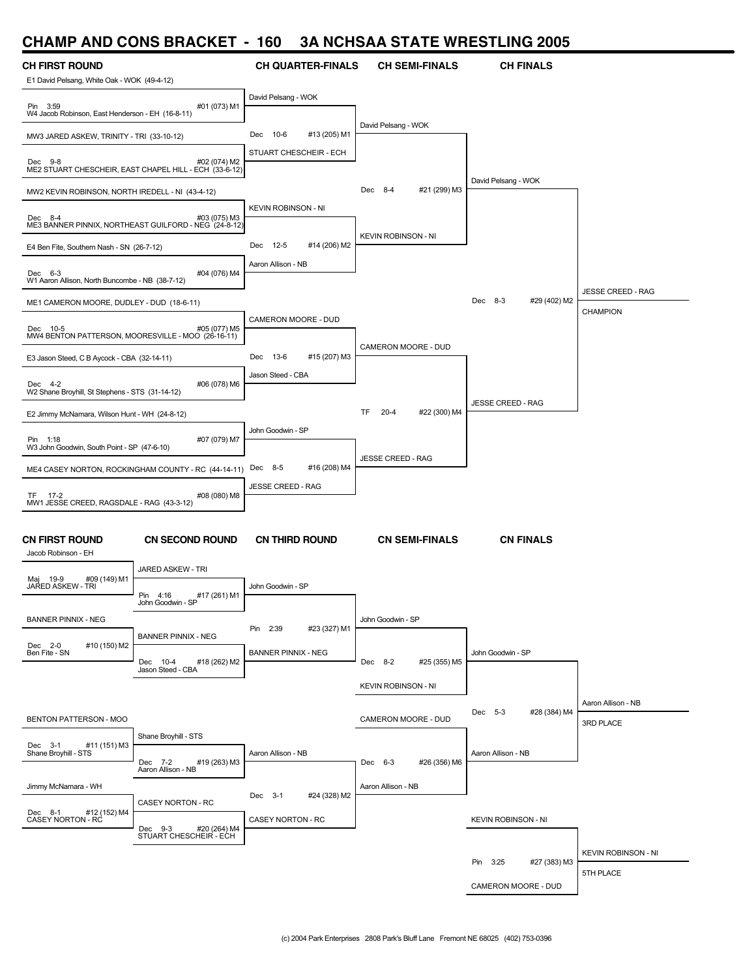### **CHAMP AND CONS BRACKET - 160 3A NCHSAA STATE WRESTLING 2005**

| UI IAIVII<br>ANP.                                                    | UUINJ DHAVINLI                                                         |                                              | $\sim$ Nonsa $\sim$ Siail whese       | LIITU LUUJ                   |                            |
|----------------------------------------------------------------------|------------------------------------------------------------------------|----------------------------------------------|---------------------------------------|------------------------------|----------------------------|
| <b>CH FIRST ROUND</b><br>E1 David Pelsang, White Oak - WOK (49-4-12) |                                                                        | <b>CH QUARTER-FINALS</b>                     | <b>CH SEMI-FINALS</b>                 | <b>CH FINALS</b>             |                            |
| Pin 3:59<br>W4 Jacob Robinson, East Henderson - EH (16-8-11)         | #01 (073) M1                                                           | David Pelsang - WOK                          |                                       |                              |                            |
| MW3 JARED ASKEW, TRINITY - TRI (33-10-12)                            |                                                                        | 10-6<br>#13 (205) M1<br>Dec                  | David Pelsang - WOK                   |                              |                            |
| Dec 9-8                                                              | #02 (074) M2<br>ME2 STUART CHESCHEIR, EAST CHAPEL HILL - ECH (33-6-12) | STUART CHESCHEIR - ECH                       |                                       |                              |                            |
| MW2 KEVIN ROBINSON, NORTH IREDELL - NI (43-4-12)                     |                                                                        |                                              | 8-4<br>#21 (299) M3<br>Dec            | David Pelsang - WOK          |                            |
| Dec 8-4                                                              | #03 (075) M3<br>ME3 BANNER PINNIX, NORTHEAST GUILFORD - NEG (24-8-12)  | <b>KEVIN ROBINSON - NI</b>                   | <b>KEVIN ROBINSON - NI</b>            |                              |                            |
| E4 Ben Fite, Southern Nash - SN (26-7-12)                            |                                                                        | Dec 12-5<br>#14 (206) M2                     |                                       |                              |                            |
| Dec 6-3<br>W1 Aaron Allison, North Buncombe - NB (38-7-12)           | #04 (076) M4                                                           | Aaron Allison - NB                           |                                       |                              | <b>JESSE CREED - RAG</b>   |
| ME1 CAMERON MOORE, DUDLEY - DUD (18-6-11)                            |                                                                        |                                              |                                       | Dec<br>$8-3$<br>#29 (402) M2 | <b>CHAMPION</b>            |
| Dec 10-5<br>MW4 BENTON PATTERSON, MOORESVILLE - MOO (26-16-11)       | #05 (077) M5                                                           | CAMERON MOORE - DUD                          | CAMERON MOORE - DUD                   |                              |                            |
| E3 Jason Steed, C B Aycock - CBA (32-14-11)                          |                                                                        | 13-6<br>#15 (207) M3<br>Dec                  |                                       |                              |                            |
| Dec 4-2<br>W2 Shane Broyhill, St Stephens - STS (31-14-12)           | #06 (078) M6                                                           | Jason Steed - CBA                            |                                       | <b>JESSE CREED - RAG</b>     |                            |
| E2 Jimmy McNamara, Wilson Hunt - WH (24-8-12)                        |                                                                        |                                              | <b>TF</b><br>$20 - 4$<br>#22 (300) M4 |                              |                            |
| Pin 1:18<br>W3 John Goodwin, South Point - SP (47-6-10)              | #07 (079) M7                                                           | John Goodwin - SP                            | <b>JESSE CREED - RAG</b>              |                              |                            |
|                                                                      | ME4 CASEY NORTON, ROCKINGHAM COUNTY - RC (44-14-11)                    | #16 (208) M4<br>Dec 8-5                      |                                       |                              |                            |
| TF 17-2<br>MW1 JESSE CREED, RAGSDALE - RAG (43-3-12)                 | #08 (080) M8                                                           | <b>JESSE CREED - RAG</b>                     |                                       |                              |                            |
| <b>CN FIRST ROUND</b><br>Jacob Robinson - EH                         | <b>CN SECOND ROUND</b>                                                 | <b>CN THIRD ROUND</b>                        | <b>CN SEMI-FINALS</b>                 | <b>CN FINALS</b>             |                            |
| #09 (149) M1<br>Maj 19-9                                             | JARED ASKEW - TRI                                                      |                                              |                                       |                              |                            |
| JAŔED ASKEW - TRI                                                    | Pin 4:16<br>#17 (261) M1<br>John Goodwin - SP                          | John Goodwin - SP                            |                                       |                              |                            |
| <b>BANNER PINNIX - NEG</b>                                           | <b>BANNER PINNIX - NEG</b>                                             | Pin 2:39<br>#23 (327) M1                     | John Goodwin - SP                     |                              |                            |
| Dec 2-0<br>#10 (150) M2<br>Ben Fite - SN                             | Dec 10-4<br>#18 (262) M2<br>Jason Steed - CBA                          | <b>BANNER PINNIX - NEG</b>                   | Dec 8-2<br>#25 (355) M5               | John Goodwin - SP            |                            |
|                                                                      |                                                                        |                                              | <b>KEVIN ROBINSON - NI</b>            |                              |                            |
|                                                                      |                                                                        |                                              |                                       | Dec 5-3<br>#28 (384) M4      | Aaron Allison - NB         |
| BENTON PATTERSON - MOO                                               | Shane Broyhill - STS                                                   |                                              | CAMERON MOORE - DUD                   |                              | 3RD PLACE                  |
| #11 (151) M3<br>Dec 3-1<br>Shane Broyhill - STS                      | Dec 7-2<br>#19 (263) M3<br>Aaron Allison - NB                          | Aaron Allison - NB                           | Dec 6-3<br>#26 (356) M6               | Aaron Allison - NB           |                            |
| Jimmy McNamara - WH                                                  |                                                                        |                                              | Aaron Allison - NB                    |                              |                            |
| Dec 8-1<br>#12 (152) M4<br>CASEY NORTON - RC                         | CASEY NORTON - RC                                                      | Dec 3-1<br>#24 (328) M2<br>CASEY NORTON - RC |                                       | <b>KEVIN ROBINSON - NI</b>   |                            |
|                                                                      | Dec 9-3 #20 (264) M4<br>STUART CHESCHEIR - ECH                         |                                              |                                       |                              | <b>KEVIN ROBINSON - NI</b> |
|                                                                      |                                                                        |                                              |                                       |                              |                            |

Pin 3:25 #27 (383) M3

5TH PLACE

CAMERON MOORE - DUD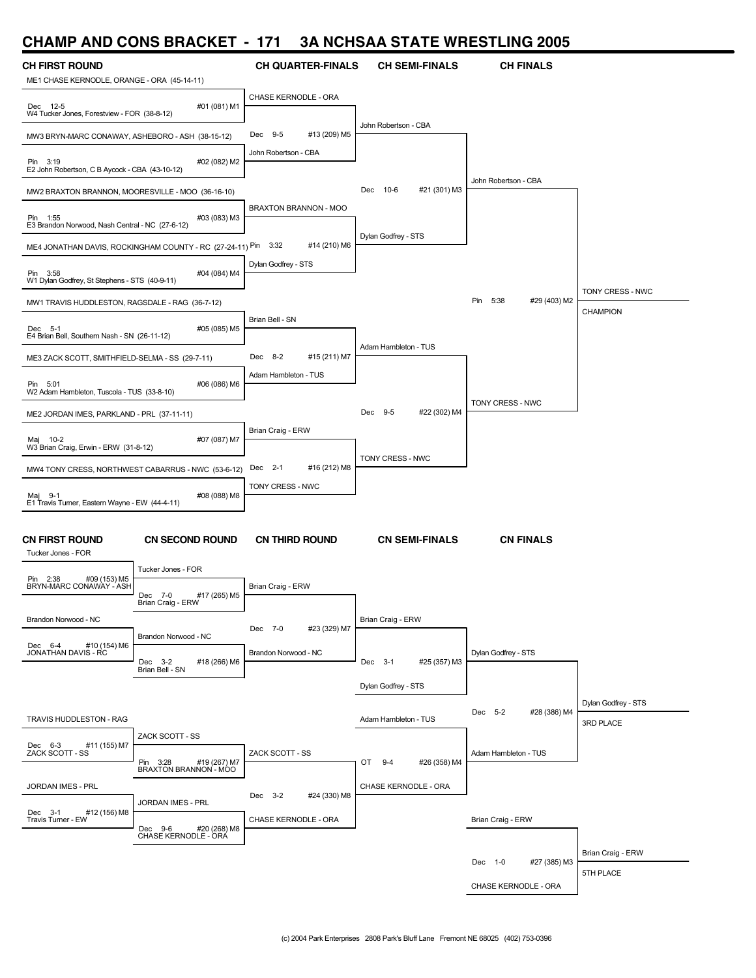### **CHAMP AND CONS BRACKET - 171 3A NCHSAA STATE WRESTLING 2005**

| ME1 CHASE KERNODLE, ORANGE - ORA (45-14-11)<br>CHASE KERNODLE - ORA<br>#01 (081) M1<br>Dec 12-5<br>W4 Tucker Jones, Forestview - FOR (38-8-12)<br>John Robertson - CBA<br>#13 (209) M5<br>Dec 9-5<br>MW3 BRYN-MARC CONAWAY, ASHEBORO - ASH (38-15-12)<br>John Robertson - CBA<br>#02 (082) M2<br>Pin 3:19<br>E2 John Robertson, C B Aycock - CBA (43-10-12)<br>John Robertson - CBA<br>#21 (301) M3<br>10-6<br>Dec<br>MW2 BRAXTON BRANNON, MOORESVILLE - MOO (36-16-10)<br>BRAXTON BRANNON - MOO<br>#03 (083) M3<br>Pin 1:55<br>E3 Brandon Norwood, Nash Central - NC (27-6-12)<br>Dylan Godfrey - STS<br>3:32<br>#14 (210) M6<br>ME4 JONATHAN DAVIS, ROCKINGHAM COUNTY - RC (27-24-11) Pin<br>Dylan Godfrey - STS<br>#04 (084) M4<br>Pin 3:58<br>W1 Dylan Godfrey, St Stephens - STS (40-9-11)<br>TONY CRESS - NWC<br>Pin 5:38<br>#29 (403) M2<br>MW1 TRAVIS HUDDLESTON, RAGSDALE - RAG (36-7-12)<br>CHAMPION<br>Brian Bell - SN<br>#05 (085) M5<br>Dec 5-1<br>E4 Brian Bell, Southern Nash - SN (26-11-12)<br>Adam Hambleton - TUS<br>#15 (211) M7<br>Dec 8-2<br>ME3 ZACK SCOTT, SMITHFIELD-SELMA - SS (29-7-11)<br>Adam Hambleton - TUS<br>#06 (086) M6<br>Pin 5:01<br>W2 Adam Hambleton, Tuscola - TUS (33-8-10)<br>TONY CRESS - NWC<br>#22 (302) M4<br>Dec 9-5<br>ME2 JORDAN IMES, PARKLAND - PRL (37-11-11)<br>Brian Craig - ERW<br>Maj 10-2<br>#07 (087) M7<br>W3 Brian Craig, Erwin - ERW (31-8-12)<br>TONY CRESS - NWC<br>#16 (212) M8<br>Dec 2-1<br>MW4 TONY CRESS, NORTHWEST CABARRUS - NWC (53-6-12)<br>TONY CRESS - NWC<br>#08 (088) M8<br>Maj 9-1<br>E1 Travis Turner, Eastern Wayne - EW (44-4-11)<br><b>CN SEMI-FINALS</b><br><b>CN SECOND ROUND</b><br><b>CN THIRD ROUND</b><br><b>CN FINALS</b><br>Tucker Jones - FOR<br>Tucker Jones - FOR<br>#09 (153) M5<br>Pin 2:38<br>BRYN-MARC CONAWAY - ASH<br>Brian Craig - ERW<br>#17 (265) M5<br>Dec 7-0<br>Brian Craig - ERW<br>Brandon Norwood - NC<br>Brian Craig - ERW<br>#23 (329) M7<br>Dec 7-0<br>Brandon Norwood - NC<br>#10 (154) M6<br>Dec 6-4<br>JONATHAN DAVIS - RC<br>Brandon Norwood - NC<br>Dylan Godfrey - STS<br>#18 (266) M6<br>Dec 3-2<br>Dec 3-1<br>#25 (357) M3<br>Brian Bell - SN<br>Dylan Godfrey - STS<br>Dylan Godfrey - STS<br>Dec 5-2<br>#28 (386) M4<br>TRAVIS HUDDLESTON - RAG<br>Adam Hambleton - TUS<br>3RD PLACE<br>ZACK SCOTT - SS<br>Dec 6-3<br>#11 (155) M7<br>ZACK SCOTT - SS<br>ZACK SCOTT - SS<br>Adam Hambleton - TUS<br>Pin 3:28<br>#19 (267) M7<br>OT 9-4<br>#26 (358) M4<br>BRAXTON BRANNON - MÓO<br>JORDAN IMES - PRL<br>CHASE KERNODLE - ORA<br>#24 (330) M8<br>Dec 3-2<br>JORDAN IMES - PRL<br>Dec 3-1 #<br>Travis Turner - EW<br>#12 (156) M8<br>CHASE KERNODLE - ORA<br>Brian Craig - ERW<br>Dec 9-6<br>#20 (268) M8<br>CHASE KERNODLE - ORÁ<br>Brian Craig - ERW<br>Dec 1-0<br>#27 (385) M3<br>5TH PLACE | <b>CH FIRST ROUND</b> | <b>CH QUARTER-FINALS</b> | <b>CH SEMI-FINALS</b> | <b>CH FINALS</b> |  |
|----------------------------------------------------------------------------------------------------------------------------------------------------------------------------------------------------------------------------------------------------------------------------------------------------------------------------------------------------------------------------------------------------------------------------------------------------------------------------------------------------------------------------------------------------------------------------------------------------------------------------------------------------------------------------------------------------------------------------------------------------------------------------------------------------------------------------------------------------------------------------------------------------------------------------------------------------------------------------------------------------------------------------------------------------------------------------------------------------------------------------------------------------------------------------------------------------------------------------------------------------------------------------------------------------------------------------------------------------------------------------------------------------------------------------------------------------------------------------------------------------------------------------------------------------------------------------------------------------------------------------------------------------------------------------------------------------------------------------------------------------------------------------------------------------------------------------------------------------------------------------------------------------------------------------------------------------------------------------------------------------------------------------------------------------------------------------------------------------------------------------------------------------------------------------------------------------------------------------------------------------------------------------------------------------------------------------------------------------------------------------------------------------------------------------------------------------------------------------------------------------------------------------------------------------------------------------------------------------------------------------------------------------------------------------------------------------------------------------------------------------------------------------------------------------------------------|-----------------------|--------------------------|-----------------------|------------------|--|
|                                                                                                                                                                                                                                                                                                                                                                                                                                                                                                                                                                                                                                                                                                                                                                                                                                                                                                                                                                                                                                                                                                                                                                                                                                                                                                                                                                                                                                                                                                                                                                                                                                                                                                                                                                                                                                                                                                                                                                                                                                                                                                                                                                                                                                                                                                                                                                                                                                                                                                                                                                                                                                                                                                                                                                                                                      |                       |                          |                       |                  |  |
|                                                                                                                                                                                                                                                                                                                                                                                                                                                                                                                                                                                                                                                                                                                                                                                                                                                                                                                                                                                                                                                                                                                                                                                                                                                                                                                                                                                                                                                                                                                                                                                                                                                                                                                                                                                                                                                                                                                                                                                                                                                                                                                                                                                                                                                                                                                                                                                                                                                                                                                                                                                                                                                                                                                                                                                                                      |                       |                          |                       |                  |  |
|                                                                                                                                                                                                                                                                                                                                                                                                                                                                                                                                                                                                                                                                                                                                                                                                                                                                                                                                                                                                                                                                                                                                                                                                                                                                                                                                                                                                                                                                                                                                                                                                                                                                                                                                                                                                                                                                                                                                                                                                                                                                                                                                                                                                                                                                                                                                                                                                                                                                                                                                                                                                                                                                                                                                                                                                                      |                       |                          |                       |                  |  |
|                                                                                                                                                                                                                                                                                                                                                                                                                                                                                                                                                                                                                                                                                                                                                                                                                                                                                                                                                                                                                                                                                                                                                                                                                                                                                                                                                                                                                                                                                                                                                                                                                                                                                                                                                                                                                                                                                                                                                                                                                                                                                                                                                                                                                                                                                                                                                                                                                                                                                                                                                                                                                                                                                                                                                                                                                      |                       |                          |                       |                  |  |
|                                                                                                                                                                                                                                                                                                                                                                                                                                                                                                                                                                                                                                                                                                                                                                                                                                                                                                                                                                                                                                                                                                                                                                                                                                                                                                                                                                                                                                                                                                                                                                                                                                                                                                                                                                                                                                                                                                                                                                                                                                                                                                                                                                                                                                                                                                                                                                                                                                                                                                                                                                                                                                                                                                                                                                                                                      |                       |                          |                       |                  |  |
|                                                                                                                                                                                                                                                                                                                                                                                                                                                                                                                                                                                                                                                                                                                                                                                                                                                                                                                                                                                                                                                                                                                                                                                                                                                                                                                                                                                                                                                                                                                                                                                                                                                                                                                                                                                                                                                                                                                                                                                                                                                                                                                                                                                                                                                                                                                                                                                                                                                                                                                                                                                                                                                                                                                                                                                                                      |                       |                          |                       |                  |  |
|                                                                                                                                                                                                                                                                                                                                                                                                                                                                                                                                                                                                                                                                                                                                                                                                                                                                                                                                                                                                                                                                                                                                                                                                                                                                                                                                                                                                                                                                                                                                                                                                                                                                                                                                                                                                                                                                                                                                                                                                                                                                                                                                                                                                                                                                                                                                                                                                                                                                                                                                                                                                                                                                                                                                                                                                                      |                       |                          |                       |                  |  |
|                                                                                                                                                                                                                                                                                                                                                                                                                                                                                                                                                                                                                                                                                                                                                                                                                                                                                                                                                                                                                                                                                                                                                                                                                                                                                                                                                                                                                                                                                                                                                                                                                                                                                                                                                                                                                                                                                                                                                                                                                                                                                                                                                                                                                                                                                                                                                                                                                                                                                                                                                                                                                                                                                                                                                                                                                      |                       |                          |                       |                  |  |
|                                                                                                                                                                                                                                                                                                                                                                                                                                                                                                                                                                                                                                                                                                                                                                                                                                                                                                                                                                                                                                                                                                                                                                                                                                                                                                                                                                                                                                                                                                                                                                                                                                                                                                                                                                                                                                                                                                                                                                                                                                                                                                                                                                                                                                                                                                                                                                                                                                                                                                                                                                                                                                                                                                                                                                                                                      |                       |                          |                       |                  |  |
|                                                                                                                                                                                                                                                                                                                                                                                                                                                                                                                                                                                                                                                                                                                                                                                                                                                                                                                                                                                                                                                                                                                                                                                                                                                                                                                                                                                                                                                                                                                                                                                                                                                                                                                                                                                                                                                                                                                                                                                                                                                                                                                                                                                                                                                                                                                                                                                                                                                                                                                                                                                                                                                                                                                                                                                                                      |                       |                          |                       |                  |  |
|                                                                                                                                                                                                                                                                                                                                                                                                                                                                                                                                                                                                                                                                                                                                                                                                                                                                                                                                                                                                                                                                                                                                                                                                                                                                                                                                                                                                                                                                                                                                                                                                                                                                                                                                                                                                                                                                                                                                                                                                                                                                                                                                                                                                                                                                                                                                                                                                                                                                                                                                                                                                                                                                                                                                                                                                                      |                       |                          |                       |                  |  |
|                                                                                                                                                                                                                                                                                                                                                                                                                                                                                                                                                                                                                                                                                                                                                                                                                                                                                                                                                                                                                                                                                                                                                                                                                                                                                                                                                                                                                                                                                                                                                                                                                                                                                                                                                                                                                                                                                                                                                                                                                                                                                                                                                                                                                                                                                                                                                                                                                                                                                                                                                                                                                                                                                                                                                                                                                      |                       |                          |                       |                  |  |
|                                                                                                                                                                                                                                                                                                                                                                                                                                                                                                                                                                                                                                                                                                                                                                                                                                                                                                                                                                                                                                                                                                                                                                                                                                                                                                                                                                                                                                                                                                                                                                                                                                                                                                                                                                                                                                                                                                                                                                                                                                                                                                                                                                                                                                                                                                                                                                                                                                                                                                                                                                                                                                                                                                                                                                                                                      |                       |                          |                       |                  |  |
|                                                                                                                                                                                                                                                                                                                                                                                                                                                                                                                                                                                                                                                                                                                                                                                                                                                                                                                                                                                                                                                                                                                                                                                                                                                                                                                                                                                                                                                                                                                                                                                                                                                                                                                                                                                                                                                                                                                                                                                                                                                                                                                                                                                                                                                                                                                                                                                                                                                                                                                                                                                                                                                                                                                                                                                                                      |                       |                          |                       |                  |  |
|                                                                                                                                                                                                                                                                                                                                                                                                                                                                                                                                                                                                                                                                                                                                                                                                                                                                                                                                                                                                                                                                                                                                                                                                                                                                                                                                                                                                                                                                                                                                                                                                                                                                                                                                                                                                                                                                                                                                                                                                                                                                                                                                                                                                                                                                                                                                                                                                                                                                                                                                                                                                                                                                                                                                                                                                                      |                       |                          |                       |                  |  |
|                                                                                                                                                                                                                                                                                                                                                                                                                                                                                                                                                                                                                                                                                                                                                                                                                                                                                                                                                                                                                                                                                                                                                                                                                                                                                                                                                                                                                                                                                                                                                                                                                                                                                                                                                                                                                                                                                                                                                                                                                                                                                                                                                                                                                                                                                                                                                                                                                                                                                                                                                                                                                                                                                                                                                                                                                      |                       |                          |                       |                  |  |
|                                                                                                                                                                                                                                                                                                                                                                                                                                                                                                                                                                                                                                                                                                                                                                                                                                                                                                                                                                                                                                                                                                                                                                                                                                                                                                                                                                                                                                                                                                                                                                                                                                                                                                                                                                                                                                                                                                                                                                                                                                                                                                                                                                                                                                                                                                                                                                                                                                                                                                                                                                                                                                                                                                                                                                                                                      |                       |                          |                       |                  |  |
|                                                                                                                                                                                                                                                                                                                                                                                                                                                                                                                                                                                                                                                                                                                                                                                                                                                                                                                                                                                                                                                                                                                                                                                                                                                                                                                                                                                                                                                                                                                                                                                                                                                                                                                                                                                                                                                                                                                                                                                                                                                                                                                                                                                                                                                                                                                                                                                                                                                                                                                                                                                                                                                                                                                                                                                                                      |                       |                          |                       |                  |  |
|                                                                                                                                                                                                                                                                                                                                                                                                                                                                                                                                                                                                                                                                                                                                                                                                                                                                                                                                                                                                                                                                                                                                                                                                                                                                                                                                                                                                                                                                                                                                                                                                                                                                                                                                                                                                                                                                                                                                                                                                                                                                                                                                                                                                                                                                                                                                                                                                                                                                                                                                                                                                                                                                                                                                                                                                                      |                       |                          |                       |                  |  |
|                                                                                                                                                                                                                                                                                                                                                                                                                                                                                                                                                                                                                                                                                                                                                                                                                                                                                                                                                                                                                                                                                                                                                                                                                                                                                                                                                                                                                                                                                                                                                                                                                                                                                                                                                                                                                                                                                                                                                                                                                                                                                                                                                                                                                                                                                                                                                                                                                                                                                                                                                                                                                                                                                                                                                                                                                      | <b>CN FIRST ROUND</b> |                          |                       |                  |  |
|                                                                                                                                                                                                                                                                                                                                                                                                                                                                                                                                                                                                                                                                                                                                                                                                                                                                                                                                                                                                                                                                                                                                                                                                                                                                                                                                                                                                                                                                                                                                                                                                                                                                                                                                                                                                                                                                                                                                                                                                                                                                                                                                                                                                                                                                                                                                                                                                                                                                                                                                                                                                                                                                                                                                                                                                                      |                       |                          |                       |                  |  |
|                                                                                                                                                                                                                                                                                                                                                                                                                                                                                                                                                                                                                                                                                                                                                                                                                                                                                                                                                                                                                                                                                                                                                                                                                                                                                                                                                                                                                                                                                                                                                                                                                                                                                                                                                                                                                                                                                                                                                                                                                                                                                                                                                                                                                                                                                                                                                                                                                                                                                                                                                                                                                                                                                                                                                                                                                      |                       |                          |                       |                  |  |
|                                                                                                                                                                                                                                                                                                                                                                                                                                                                                                                                                                                                                                                                                                                                                                                                                                                                                                                                                                                                                                                                                                                                                                                                                                                                                                                                                                                                                                                                                                                                                                                                                                                                                                                                                                                                                                                                                                                                                                                                                                                                                                                                                                                                                                                                                                                                                                                                                                                                                                                                                                                                                                                                                                                                                                                                                      |                       |                          |                       |                  |  |
|                                                                                                                                                                                                                                                                                                                                                                                                                                                                                                                                                                                                                                                                                                                                                                                                                                                                                                                                                                                                                                                                                                                                                                                                                                                                                                                                                                                                                                                                                                                                                                                                                                                                                                                                                                                                                                                                                                                                                                                                                                                                                                                                                                                                                                                                                                                                                                                                                                                                                                                                                                                                                                                                                                                                                                                                                      |                       |                          |                       |                  |  |
|                                                                                                                                                                                                                                                                                                                                                                                                                                                                                                                                                                                                                                                                                                                                                                                                                                                                                                                                                                                                                                                                                                                                                                                                                                                                                                                                                                                                                                                                                                                                                                                                                                                                                                                                                                                                                                                                                                                                                                                                                                                                                                                                                                                                                                                                                                                                                                                                                                                                                                                                                                                                                                                                                                                                                                                                                      |                       |                          |                       |                  |  |
|                                                                                                                                                                                                                                                                                                                                                                                                                                                                                                                                                                                                                                                                                                                                                                                                                                                                                                                                                                                                                                                                                                                                                                                                                                                                                                                                                                                                                                                                                                                                                                                                                                                                                                                                                                                                                                                                                                                                                                                                                                                                                                                                                                                                                                                                                                                                                                                                                                                                                                                                                                                                                                                                                                                                                                                                                      |                       |                          |                       |                  |  |
|                                                                                                                                                                                                                                                                                                                                                                                                                                                                                                                                                                                                                                                                                                                                                                                                                                                                                                                                                                                                                                                                                                                                                                                                                                                                                                                                                                                                                                                                                                                                                                                                                                                                                                                                                                                                                                                                                                                                                                                                                                                                                                                                                                                                                                                                                                                                                                                                                                                                                                                                                                                                                                                                                                                                                                                                                      |                       |                          |                       |                  |  |
|                                                                                                                                                                                                                                                                                                                                                                                                                                                                                                                                                                                                                                                                                                                                                                                                                                                                                                                                                                                                                                                                                                                                                                                                                                                                                                                                                                                                                                                                                                                                                                                                                                                                                                                                                                                                                                                                                                                                                                                                                                                                                                                                                                                                                                                                                                                                                                                                                                                                                                                                                                                                                                                                                                                                                                                                                      |                       |                          |                       |                  |  |
|                                                                                                                                                                                                                                                                                                                                                                                                                                                                                                                                                                                                                                                                                                                                                                                                                                                                                                                                                                                                                                                                                                                                                                                                                                                                                                                                                                                                                                                                                                                                                                                                                                                                                                                                                                                                                                                                                                                                                                                                                                                                                                                                                                                                                                                                                                                                                                                                                                                                                                                                                                                                                                                                                                                                                                                                                      |                       |                          |                       |                  |  |
|                                                                                                                                                                                                                                                                                                                                                                                                                                                                                                                                                                                                                                                                                                                                                                                                                                                                                                                                                                                                                                                                                                                                                                                                                                                                                                                                                                                                                                                                                                                                                                                                                                                                                                                                                                                                                                                                                                                                                                                                                                                                                                                                                                                                                                                                                                                                                                                                                                                                                                                                                                                                                                                                                                                                                                                                                      |                       |                          |                       |                  |  |
|                                                                                                                                                                                                                                                                                                                                                                                                                                                                                                                                                                                                                                                                                                                                                                                                                                                                                                                                                                                                                                                                                                                                                                                                                                                                                                                                                                                                                                                                                                                                                                                                                                                                                                                                                                                                                                                                                                                                                                                                                                                                                                                                                                                                                                                                                                                                                                                                                                                                                                                                                                                                                                                                                                                                                                                                                      |                       |                          |                       |                  |  |
|                                                                                                                                                                                                                                                                                                                                                                                                                                                                                                                                                                                                                                                                                                                                                                                                                                                                                                                                                                                                                                                                                                                                                                                                                                                                                                                                                                                                                                                                                                                                                                                                                                                                                                                                                                                                                                                                                                                                                                                                                                                                                                                                                                                                                                                                                                                                                                                                                                                                                                                                                                                                                                                                                                                                                                                                                      |                       |                          |                       |                  |  |
|                                                                                                                                                                                                                                                                                                                                                                                                                                                                                                                                                                                                                                                                                                                                                                                                                                                                                                                                                                                                                                                                                                                                                                                                                                                                                                                                                                                                                                                                                                                                                                                                                                                                                                                                                                                                                                                                                                                                                                                                                                                                                                                                                                                                                                                                                                                                                                                                                                                                                                                                                                                                                                                                                                                                                                                                                      |                       |                          |                       |                  |  |
|                                                                                                                                                                                                                                                                                                                                                                                                                                                                                                                                                                                                                                                                                                                                                                                                                                                                                                                                                                                                                                                                                                                                                                                                                                                                                                                                                                                                                                                                                                                                                                                                                                                                                                                                                                                                                                                                                                                                                                                                                                                                                                                                                                                                                                                                                                                                                                                                                                                                                                                                                                                                                                                                                                                                                                                                                      |                       |                          |                       |                  |  |
| CHASE KERNODLE - ORA                                                                                                                                                                                                                                                                                                                                                                                                                                                                                                                                                                                                                                                                                                                                                                                                                                                                                                                                                                                                                                                                                                                                                                                                                                                                                                                                                                                                                                                                                                                                                                                                                                                                                                                                                                                                                                                                                                                                                                                                                                                                                                                                                                                                                                                                                                                                                                                                                                                                                                                                                                                                                                                                                                                                                                                                 |                       |                          |                       |                  |  |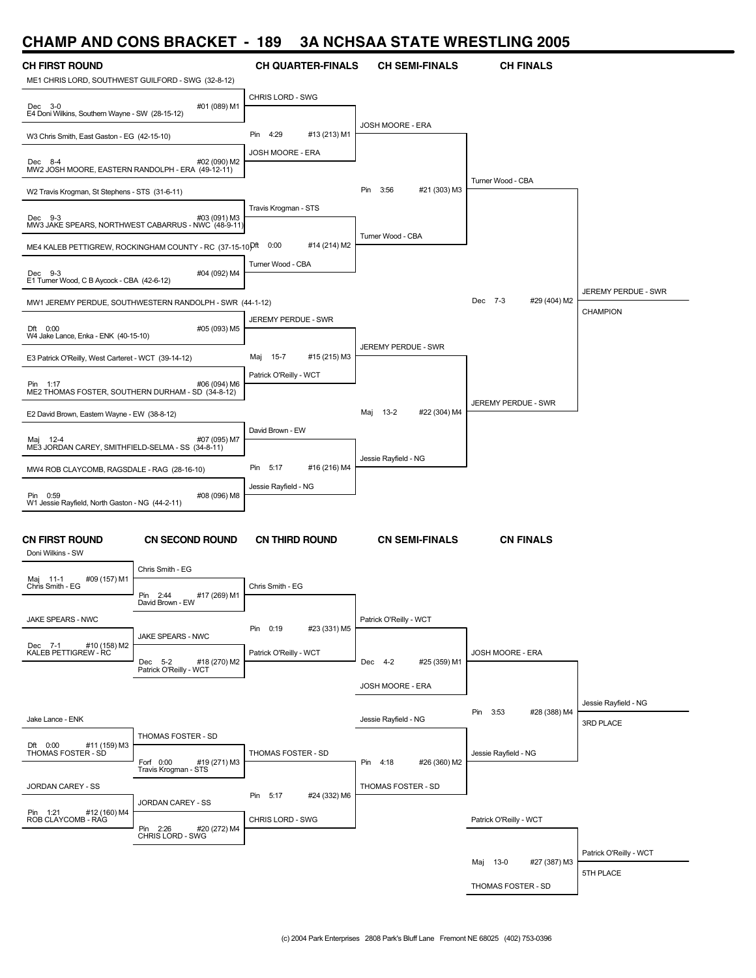# **CHAMP AND CONS BRACKET - 189 3A NCHSAA STATE WRESTLING 2005**

| UNAMIL MIJID QUNJ DUMUNE I                                                  |                                                                           | 10J                         |                             | SA NGHSAA STATE WHESTEING 2005 |                                   |
|-----------------------------------------------------------------------------|---------------------------------------------------------------------------|-----------------------------|-----------------------------|--------------------------------|-----------------------------------|
| <b>CH FIRST ROUND</b><br>ME1 CHRIS LORD, SOUTHWEST GUILFORD - SWG (32-8-12) |                                                                           | <b>CH QUARTER-FINALS</b>    | <b>CH SEMI-FINALS</b>       | <b>CH FINALS</b>               |                                   |
| $Dec$ 3-0<br>E4 Doni Wilkins, Southern Wayne - SW (28-15-12)                | #01 (089) M1                                                              | CHRIS LORD - SWG            |                             |                                |                                   |
| W3 Chris Smith, East Gaston - EG (42-15-10)                                 |                                                                           | 4:29<br>#13 (213) M1<br>Pin | JOSH MOORE - ERA            |                                |                                   |
| Dec 8-4<br>MW2 JOSH MOORE, EASTERN RANDOLPH - ERA (49-12-11)                | #02 (090) M2                                                              | JOSH MOORE - ERA            |                             |                                |                                   |
| W2 Travis Krogman, St Stephens - STS (31-6-11)                              |                                                                           |                             | Pin<br>3:56<br>#21 (303) M3 | Turner Wood - CBA              |                                   |
| Dec 9-3                                                                     | #03 (091) M3<br>MW3 JAKE SPEARS, NORTHWEST CABARRUS - NWC (48-9-11)       | Travis Krogman - STS        |                             |                                |                                   |
|                                                                             | ME4 KALEB PETTIGREW, ROCKINGHAM COUNTY - RC (37-15-10 <sup>Dft 0:00</sup> | #14 (214) M2                | Turner Wood - CBA           |                                |                                   |
| Dec 9-3<br>E1 Turner Wood, C B Aycock - CBA (42-6-12)                       | #04 (092) M4                                                              | Turner Wood - CBA           |                             |                                | JEREMY PERDUE - SWR               |
|                                                                             | MW1 JEREMY PERDUE, SOUTHWESTERN RANDOLPH - SWR (44-1-12)                  |                             |                             | Dec 7-3<br>#29 (404) M2        | <b>CHAMPION</b>                   |
| Dft 0:00<br>W4 Jake Lance, Enka - ENK (40-15-10)                            | #05 (093) M5                                                              | JEREMY PERDUE - SWR         | <b>JEREMY PERDUE - SWR</b>  |                                |                                   |
| E3 Patrick O'Reilly, West Carteret - WCT (39-14-12)                         |                                                                           | Maj<br>15-7<br>#15 (215) M3 |                             |                                |                                   |
| Pin 1:17<br>ME2 THOMAS FOSTER, SOUTHERN DURHAM - SD (34-8-12)               | #06 (094) M6                                                              | Patrick O'Reilly - WCT      |                             | JEREMY PERDUE - SWR            |                                   |
| E2 David Brown, Eastern Wayne - EW (38-8-12)                                |                                                                           |                             | #22 (304) M4<br>Maj<br>13-2 |                                |                                   |
| 12-4<br>Maj<br>ME3 JORDAN CAREY, SMITHFIELD-SELMA - SS (34-8-11)            | #07 (095) M7                                                              | David Brown - EW            | Jessie Rayfield - NG        |                                |                                   |
| MW4 ROB CLAYCOMB, RAGSDALE - RAG (28-16-10)                                 |                                                                           | Pin 5:17<br>#16 (216) M4    |                             |                                |                                   |
| Pin 0:59<br>W1 Jessie Rayfield, North Gaston - NG (44-2-11)                 | #08 (096) M8                                                              | Jessie Rayfield - NG        |                             |                                |                                   |
| <b>CN FIRST ROUND</b><br>Doni Wilkins - SW                                  | <b>CN SECOND ROUND</b>                                                    | <b>CN THIRD ROUND</b>       | <b>CN SEMI-FINALS</b>       | <b>CN FINALS</b>               |                                   |
| #09 (157) M1<br>Maj 11-1<br>Chris Smith - EG                                | Chris Smith - EG                                                          | Chris Smith - EG            |                             |                                |                                   |
| JAKE SPEARS - NWC                                                           | Pin 2:44<br>#17 (269) M1<br>David Brown - EW                              |                             | Patrick O'Reilly - WCT      |                                |                                   |
| #10 (158) M2                                                                | <b>JAKE SPEARS - NWC</b>                                                  | Pin 0:19<br>#23 (331) M5    |                             |                                |                                   |
| Dec 7-1 #10 (158<br>KALEB PETTIGREW - RC                                    | Dec 5-2 #18<br>Patrick O'Reilly - WCT<br>#18 (270) M2                     | Patrick O'Reilly - WCT      | Dec 4-2<br>#25 (359) M1     | JOSH MOORE - ERA               |                                   |
|                                                                             |                                                                           |                             | JOSH MOORE - ERA            |                                |                                   |
| Jake Lance - ENK                                                            |                                                                           |                             | Jessie Rayfield - NG        | Pin 3:53<br>#28 (388) M4       | Jessie Rayfield - NG<br>3RD PLACE |
| #11 (159) M3<br>Dft 0:00<br>THOMAS FOSTER - SD                              | THOMAS FOSTER - SD<br>#19 (271) M3<br>Forf 0:00                           | THOMAS FOSTER - SD          | #26 (360) M2<br>Pin 4:18    | Jessie Rayfield - NG           |                                   |
| JORDAN CAREY - SS                                                           | Travis Krogman - STS                                                      | Pin 5:17<br>#24 (332) M6    | THOMAS FOSTER - SD          |                                |                                   |
| Pin 1:21<br>#12 (160) M4<br>ROB CLAYCOMB - RAG                              | JORDAN CAREY - SS<br>Pin 2:26<br>#20 (272) M4                             | CHRIS LORD - SWG            |                             | Patrick O'Reilly - WCT         |                                   |
|                                                                             | CHRIS LORD - SWG                                                          |                             |                             | #27 (387) M3<br>Maj 13-0       | Patrick O'Reilly - WCT            |

THOMAS FOSTER - SD

5TH PLACE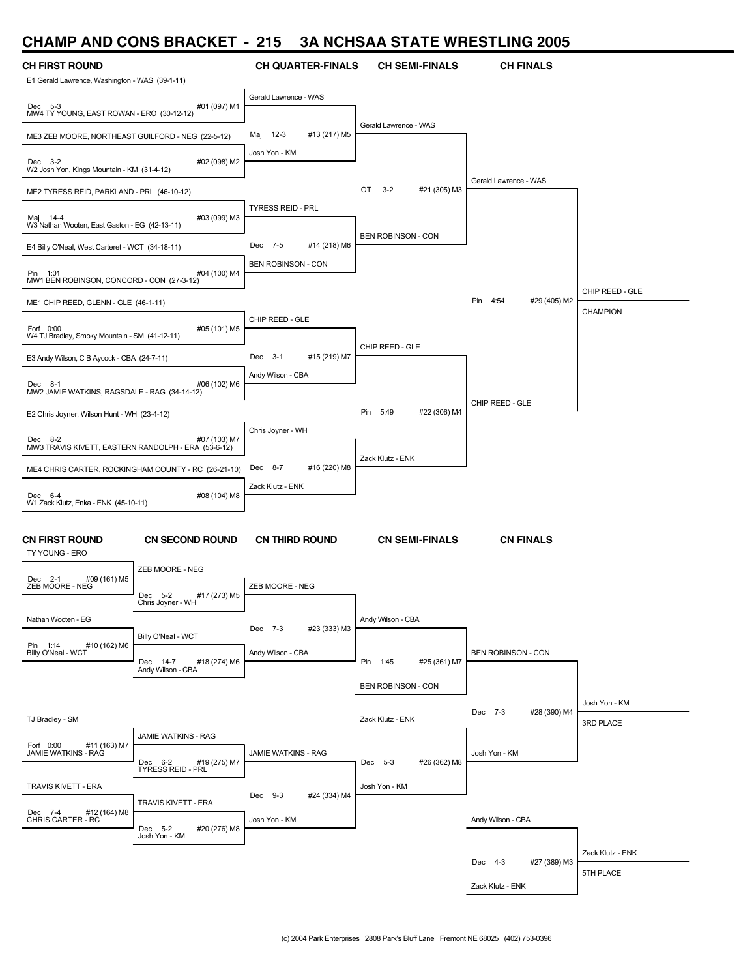#### **CHAMP AND CONS BRACKET - 215 3A NCHSAA STATE WRESTLING 2005**